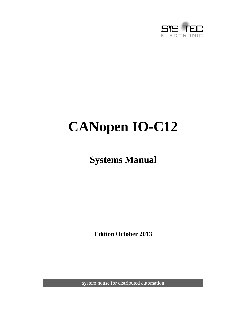

# **CANopen IO-C12**

## **Systems Manual**

**Edition October 2013** 

system house for distributed automation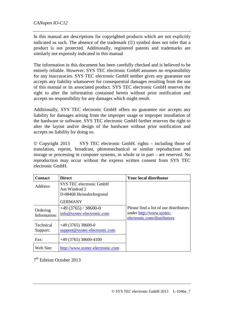In this manual are descriptions for copyrighted products which are not explicitly indicated as such. The absence of the trademark  $(\circledcirc)$  symbol does not infer that a product is not protected. Additionally, registered patents and trademarks are similarly not expressly indicated in this manual

The information in this document has been carefully checked and is believed to be entirely reliable. However, SYS TEC electronic GmbH assumes no responsibility for any inaccuracies. SYS TEC electronic GmbH neither gives any guarantee nor accepts any liability whatsoever for consequential damages resulting from the use of this manual or its associated product. SYS TEC electronic GmbH reserves the right to alter the information contained herein without prior notification and accepts no responsibility for any damages which might result.

Additionally, SYS TEC electronic GmbH offers no guarantee nor accepts any liability for damages arising from the improper usage or improper installation of the hardware or software. SYS TEC electronic GmbH further reserves the right to alter the layout and/or design of the hardware without prior notification and accepts no liability for doing so.

 Copyright 2013 SYS TEC electronic GmbH. rights – including those of translation, reprint, broadcast, photomechanical or similar reproduction and storage or processing in computer systems, in whole or in part – are reserved. No reproduction may occur without the express written consent from SYS TEC electronic GmbH.

| <b>Contact</b>           | <b>Direct</b>                                                                         | Your local distributor                                                                            |
|--------------------------|---------------------------------------------------------------------------------------|---------------------------------------------------------------------------------------------------|
| Address:                 | SYS TEC electronic GmbH<br>Am Windrad 2<br>D-08468 Heinsdorfergrund<br><b>GERMANY</b> |                                                                                                   |
| Ordering<br>Information: | $+49(3765)/38600-0$<br>info@systec-electronic.com                                     | Please find a list of our distributors<br>under http://www.systec-<br>electronic.com/distributors |
| Technical<br>Support:    | $+49(3765)38600-0$<br>support@systec-electronic.com                                   |                                                                                                   |
| $\text{Fax}:$            | $+49(3765)38600-4100$                                                                 |                                                                                                   |
| Web Site:                | http://www.systec-electronic.com                                                      |                                                                                                   |

7 th Edition October 2013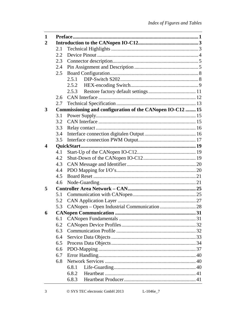| $\overline{2}$                                                 |  |
|----------------------------------------------------------------|--|
|                                                                |  |
| 2.1                                                            |  |
| 2.2                                                            |  |
| 2.3                                                            |  |
| 2.4                                                            |  |
| 2.5                                                            |  |
| 2.5.1                                                          |  |
|                                                                |  |
| 2.5.3                                                          |  |
| 2.6                                                            |  |
| 2.7                                                            |  |
| Commissioning and configuration of the CANopen IO-C12  15<br>3 |  |
| 3.1                                                            |  |
| 3.2                                                            |  |
| 3.3                                                            |  |
| 3.4                                                            |  |
| 3.5                                                            |  |
| $\boldsymbol{4}$                                               |  |
| 4.1                                                            |  |
| 4.2                                                            |  |
| 4.3                                                            |  |
| 4.4                                                            |  |
| 4.5                                                            |  |
| 4.6                                                            |  |
| 5                                                              |  |
| 5.1                                                            |  |
| 5.2                                                            |  |
| 5.3                                                            |  |
| 6                                                              |  |
| 6.1                                                            |  |
| 6.2                                                            |  |
| 6.3                                                            |  |
| 6.4                                                            |  |
| 6.5                                                            |  |
| 6.6                                                            |  |
| 6.7                                                            |  |
| 6.8                                                            |  |
| 6.8.1                                                          |  |
| 6.8.2                                                          |  |
| 6.8.3                                                          |  |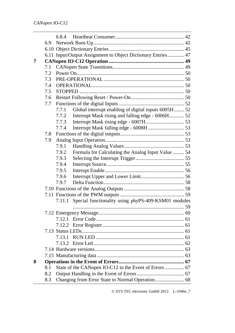|   | 6.9 |                                                               |  |
|---|-----|---------------------------------------------------------------|--|
|   |     |                                                               |  |
|   |     | 6.11 Input/Output Assignment to Object Dictionary Entries 47  |  |
| 7 |     |                                                               |  |
|   | 7.1 |                                                               |  |
|   | 7.2 |                                                               |  |
|   | 7.3 |                                                               |  |
|   | 7.4 |                                                               |  |
|   | 7.5 |                                                               |  |
|   | 7.6 |                                                               |  |
|   | 7.7 |                                                               |  |
|   |     | Global interrupt enabling of digital inputs 6005H 52<br>7.7.1 |  |
|   |     | Interrupt Mask rising and falling edge - 6006H 52<br>7.7.2    |  |
|   |     | 7.7.3                                                         |  |
|   |     | 7.7.4                                                         |  |
|   | 7.8 |                                                               |  |
|   | 7.9 |                                                               |  |
|   |     | 7.9.1                                                         |  |
|   |     | Formula for Calculating the Analog Input Value  54<br>7.9.2   |  |
|   |     | 7.9.3                                                         |  |
|   |     | 7.9.4                                                         |  |
|   |     | 7.9.5                                                         |  |
|   |     | 7.9.6                                                         |  |
|   |     | 7.9.7                                                         |  |
|   |     |                                                               |  |
|   |     |                                                               |  |
|   |     | Special functionality using phyPS-409-KSM01 modules<br>7.11.1 |  |
|   |     |                                                               |  |
|   |     |                                                               |  |
|   |     |                                                               |  |
|   |     | 7.12.2                                                        |  |
|   |     |                                                               |  |
|   |     |                                                               |  |
|   |     |                                                               |  |
|   |     |                                                               |  |
|   |     |                                                               |  |
| 8 |     |                                                               |  |
|   | 8.1 | State of the CANopen IO-C12 in the Event of Errors  67        |  |
|   | 8.2 |                                                               |  |
|   | 8.3 |                                                               |  |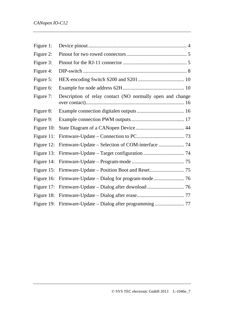| Figure 1:     |                                                           |
|---------------|-----------------------------------------------------------|
| Figure 2:     |                                                           |
| Figure 3:     |                                                           |
| Figure 4:     |                                                           |
| Figure 5:     |                                                           |
| Figure 6:     |                                                           |
| Figure 7:     | Description of relay contact (NO normally open and change |
| Figure 8:     |                                                           |
| Figure 9:     |                                                           |
| Figure 10:    |                                                           |
| Figure 11:    |                                                           |
| Figure 12:    |                                                           |
| Figure 13:    |                                                           |
| Figure 14:    |                                                           |
| Figure $15$ : |                                                           |
| Figure 16:    |                                                           |
| Figure 17:    |                                                           |
| Figure 18:    |                                                           |
|               |                                                           |
|               |                                                           |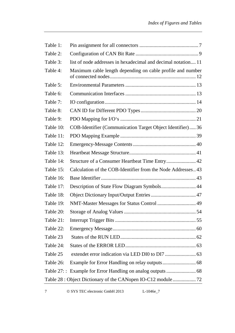| Table 1:  |                                                               |
|-----------|---------------------------------------------------------------|
| Table 2:  |                                                               |
| Table 3:  | list of node addresses in hexadecimal and decimal notation 11 |
| Table 4:  | Maximum cable length depending on cable profile and number    |
| Table 5:  |                                                               |
| Table 6:  |                                                               |
| Table 7:  |                                                               |
| Table 8:  |                                                               |
| Table 9:  |                                                               |
| Table 10: | COB-Identifier (Communication Target Object Identifier) 36    |
| Table 11: |                                                               |
| Table 12: |                                                               |
| Table 13: |                                                               |
| Table 14: | Structure of a Consumer Heartbeat Time Entry 42               |
| Table 15: | Calculation of the COB-Identifier from the Node Addresses43   |
| Table 16: |                                                               |
| Table 17: | Description of State Flow Diagram Symbols 44                  |
| Table 18: |                                                               |
| Table 19: | NMT-Master Messages for Status Control  49                    |
| Table 20: |                                                               |
| Table 21: |                                                               |
| Table 22: |                                                               |
| Table 23  |                                                               |
| Table 24: |                                                               |
| Table 25  |                                                               |
| Table 26: |                                                               |
|           |                                                               |
|           |                                                               |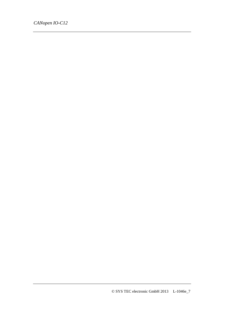© SYS TEC electronic GmbH 2013 L-1046e\_7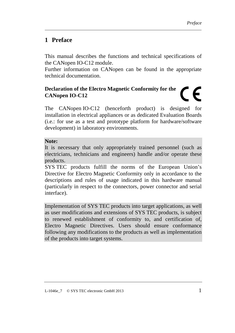## **1 Preface**

This manual describes the functions and technical specifications of the CANopen IO-C12 module.

Further information on CANopen can be found in the appropriate technical documentation.

#### **Declaration of the Electro Magnetic Conformity for the**   $\epsilon$ **CANopen IO-C12**

The CANopen IO-C12 (henceforth product) is designed for installation in electrical appliances or as dedicated Evaluation Boards (i.e.: for use as a test and prototype platform for hardware/software development) in laboratory environments.

#### **Note:**

It is necessary that only appropriately trained personnel (such as electricians, technicians and engineers) handle and/or operate these products.

SYS TEC products fulfill the norms of the European Union's Directive for Electro Magnetic Conformity only in accordance to the descriptions and rules of usage indicated in this hardware manual (particularly in respect to the connectors, power connector and serial interface).

Implementation of SYS TEC products into target applications, as well as user modifications and extensions of SYS TEC products, is subject to renewed establishment of conformity to, and certification of, Electro Magnetic Directives. Users should ensure conformance following any modifications to the products as well as implementation of the products into target systems.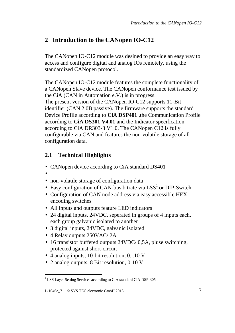## **2 Introduction to the CANopen IO-C12**

The CANopen IO-C12 module was desined to provide an easy way to access and configure digital and analog IOs remotely, using the standardized CANopen protocol.

The CANopen IO-C12 module features the complete functionality of a CANopen Slave device. The CANopen conformance test issued by the CiA (CAN in Automation e.V.) is in progress. The present version of the CANopen IO-C12 supports 11-Bit identifier (CAN 2.0B passive). The firmware supports the standard Device Profile according to **CiA DSP401** ,the Communication Profile according to **CiA DS301 V4.01** and the Indicator specification according to CiA DR303-3 V1.0. The CANopen C12 is fully configurable via CAN and features the non-volatile storage of all configuration data.

## **2.1 Technical Highlights**

- CANopen device according to CiA standard DS401
- •
- non-volatile storage of configuration data
- Easy configuration of CAN-bus bitrate via  $LSS<sup>1</sup>$  or DIP-Switch
- Configuration of CAN node address via easy accessible HEXencoding switches
- All inputs and outputs feature LED indicators
- 24 digital inputs, 24 VDC, seperated in groups of 4 inputs each, each group galvanic isolated to another
- 3 digital inputs, 24VDC, galvanic isolated
- 4 Relay outputs 250VAC/2A
- 16 transistor buffered outputs 24VDC/ 0,5A, pluse switching, protected against short-circuit
- 4 analog inputs, 10-bit resolution, 0...10 V
- 2 analog outputs, 8 Bit resolution, 0-10 V

 $\overline{a}$ <sup>1</sup> LSS Layer Setting Services according to CiA standard CiA DSP-305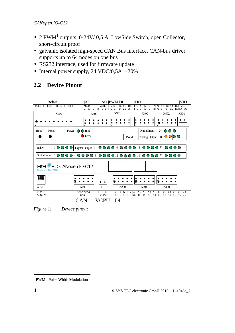- 2 PWM<sup>1</sup> outputs, 0-24V/ 0,5 A, LowSide Switch, open Collector, short-circuit proof
- galvanic isolated high-speed CAN Bus interface, CAN-bus driver supports up to 64 nodes on one bus
- RS232 interface, used for firmware update
- Internal power supply, 24 VDC/0,5A  $\pm 20\%$

## **2.2 Device Pinout**



*Figure 1: Device pinout* 

 $\overline{a}$ 1 PWM : **P**ulse **W**idth **M**odulation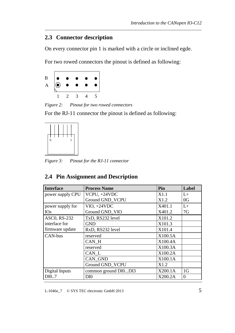## **2.3 Connector description**

On every connector pin 1 is marked with a circle or inclined egde.

For two rowed connectors the pinout is defined as following:



*Figure 2: Pinout for two rowed connectors* 

For the RJ-11 connector the pinout is defined as following:



*Figure 3: Pinout for the RJ-11 connector* 

## **2.4 Pin Assignment and Description**

| <b>Interface</b> | <b>Process Name</b>  | Pin     | Label          |
|------------------|----------------------|---------|----------------|
| power supply CPU | VCPU, $+24VDC$       | X1.1    | $L+$           |
|                  | Ground GND_VCPU      | X1.2    | 0 <sub>G</sub> |
| power supply for | $VIO, +24VDC$        | X401.1  | $L+$           |
| <b>IOs</b>       | Ground GND VIO       | X401.2  | 7G             |
| ASC0, RS-232     | TxD, RS232 level     | X101.2  |                |
| interface for    | <b>GND</b>           | X101.3  |                |
| firmware update  | RxD, RS232 level     | X101.4  |                |
| CAN-bus          | reserved             | X100.5A |                |
|                  | CAN H                | X100.4A |                |
|                  | reserved             | X100.3A |                |
|                  | CAN_L                | X100.2A |                |
|                  | <b>CAN GND</b>       | X100.1A |                |
|                  | Ground GND_VCPU      | X1.2    |                |
| Digital Inputs   | common ground DI0DI3 | X200.1A | 1 <sub>G</sub> |
| DI0.7            | DI <sub>0</sub>      | X200.2A | $\overline{0}$ |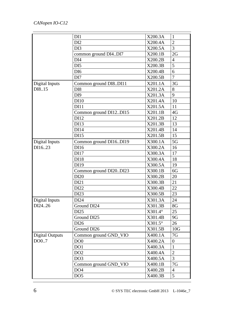|                 | DI1                    | X200.3A        | $\mathbf{1}$     |
|-----------------|------------------------|----------------|------------------|
|                 | DI2                    | X200.4A        | $\overline{2}$   |
|                 | DI3                    | X200.5A        | 3                |
|                 | common ground DI4DI7   | X200.1B        | 2G               |
|                 | DI <sub>4</sub>        | X200.2B        | $\overline{4}$   |
|                 | DI <sub>5</sub>        | X200.3B        | 5                |
|                 | DI <sub>6</sub>        | X200.4B        | 6                |
|                 | DI7                    | X200.5B        | 7                |
| Digital Inputs  | Common ground DI8DI11  | X201.1A        | 3G               |
| DI8.15          | DI <sub>8</sub>        | X201.2A        | 8                |
|                 | DI <sub>9</sub>        | X201.3A        | 9                |
|                 | DI10                   | X201.4A        | 10               |
|                 | <b>DI11</b>            | X201.5A        | 11               |
|                 | Common ground DI12DI15 | X201.1B        | 4G               |
|                 | DI12                   | X201.2B        | 12               |
|                 | DI13                   | X201.3B        | 13               |
|                 | DI14                   | X201.4B        | 14               |
|                 | DI15                   | X201.5B        | 15               |
| Digital Inputs  | Common ground DI16DI19 | X300.1A        | 5G               |
| DI1623          | DI16                   | X300.2A        | 16               |
|                 | <b>DI17</b>            | X300.3A        | 17               |
|                 | <b>DI18</b>            | X300.4A        | 18               |
|                 | DI19                   | X300.5A        | 19               |
|                 | Common ground DI20DI23 | X300.1B        | 6G               |
|                 | DI20                   | X300.2B        | 20               |
|                 | DI21                   | X300.3B        | 21               |
|                 | DI22                   | X300.4B        | 22               |
|                 | DI23                   | X300.5B        | 23               |
| Digital Inputs  | DI24                   | X301.3A        | 24               |
| DI2426          | Ground DI24            | X301.3B        | 8G               |
|                 | DI25                   | $X301.4^\circ$ | 25               |
|                 | Ground DI25            | X301.4B        | 9G               |
|                 | DI26                   | $X301.5^\circ$ | 26               |
|                 | Ground DI26            | X301.5B        | 10G              |
| Digital Outputs | Common ground GND_VIO  | X400.1A        | 7G               |
| DO07            | DO <sub>0</sub>        | X400.2A        | $\boldsymbol{0}$ |
|                 | DO1                    | X400.3A        | $\mathbf{1}$     |
|                 | DO <sub>2</sub>        | X400.4A        | $\overline{2}$   |
|                 | DO <sub>3</sub>        | X400.5A        | 3                |
|                 | Common ground GND_VIO  | X400.1B        | 7G               |
|                 | DO <sub>4</sub>        | X400.2B        | $\overline{4}$   |
|                 | DO5                    | X400.3B        | 5                |
|                 |                        |                |                  |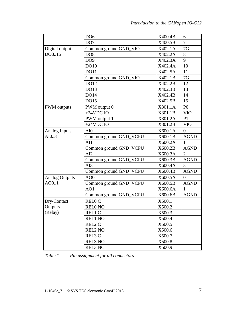|                       | DO <sub>6</sub>        | X400.4B | 6              |
|-----------------------|------------------------|---------|----------------|
|                       | DO <sub>7</sub>        | X400.5B | $\overline{7}$ |
| Digital output        | Common ground GND_VIO  | X402.1A | 7G             |
| DO8.15                | DO <sub>8</sub>        | X402.2A | 8              |
|                       | DO <sub>9</sub>        | X402.3A | 9              |
|                       | DO10                   | X402.4A | 10             |
|                       | <b>DO11</b>            | X402.5A | 11             |
|                       | Common ground GND_VIO  | X402.1B | 7G             |
|                       | DO12                   | X402.2B | 12             |
|                       | DO13                   | X402.3B | 13             |
|                       | <b>DO14</b>            | X402.4B | 14             |
|                       | DO15                   | X402.5B | 15             |
| <b>PWM</b> outputs    | PWM output 0           | X301.1A | P <sub>0</sub> |
|                       | $+24$ VDCIO            | X301.1B | <b>VIO</b>     |
|                       | PWM output 1           | X301.2A | P <sub>1</sub> |
|                       | $+24$ VDCIO            | X301.2B | <b>VIO</b>     |
| <b>Analog Inputs</b>  | AI0                    | X600.1A | $\overline{0}$ |
| AI0.3                 | Common ground GND_VCPU | X600.1B | <b>AGND</b>    |
|                       | AI1                    | X600.2A | 1              |
|                       | Common ground GND_VCPU | X600.2B | <b>AGND</b>    |
|                       | AI2                    | X600.3A | $\overline{2}$ |
|                       | Common ground GND_VCPU | X600.3B | <b>AGND</b>    |
|                       | AI3                    | X600.4A | 3              |
|                       | Common ground GND_VCPU | X600.4B | <b>AGND</b>    |
| <b>Analog Outputs</b> | AO <sub>0</sub>        | X600.5A | $\overline{0}$ |
| AOO.1                 | Common ground GND_VCPU | X600.5B | <b>AGND</b>    |
|                       | AO1                    | X600.6A | 1              |
|                       | Common ground GND_VCPU | X600.6B | <b>AGND</b>    |
| Dry-Contact           | <b>RELOC</b>           | X500.1  |                |
| Outputs               | <b>RELONO</b>          | X500.2  |                |
| (Relay)               | REL1 C                 | X500.3  |                |
|                       | <b>REL1 NO</b>         | X500.4  |                |
|                       | REL2 C                 | X500.5  |                |
|                       | <b>REL2 NO</b>         | X500.6  |                |
|                       | REL3 C                 | X500.7  |                |
|                       | <b>REL3 NO</b>         | X500.8  |                |
|                       | <b>REL3 NC</b>         | X500.9  |                |

*Table 1: Pin assignment for all connectors*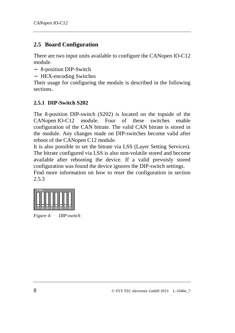## **2.5 Board Configuration**

There are two input units available to configure the CANopen IO-C12 module.

- − 8-position DIP-Switch
- − HEX-encoding Switches

Their usage for configuring the module is described in the following sections.

## **2.5.1 DIP-Switch S202**

The 8-position DIP-switch (S202) is located on the topside of the CANopen IO-C12 module. Four of these switches enable configuration of the CAN bitrate. The valid CAN bitrate is stored in the module. Any changes made on DIP-switches become valid after reboot of the CANopen C12 module.

It is also possible to set the bitrate via LSS (Layer Setting Services). The bitrate configured via LSS is also non-volatile stored and become available after rebooting the device. If a valid prevoisly stored configuration was found the device ignores the DIP-switch settings.

Find more information on how to reset the configuration in section 2.5.3



*Figure 4: DIP-switch*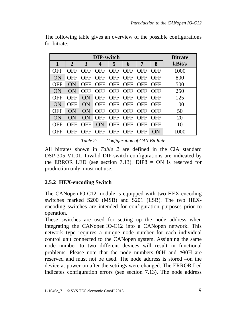| <b>DIP-switch</b> |                |            |            |            |            |            |            | <b>Bitrate</b> |
|-------------------|----------------|------------|------------|------------|------------|------------|------------|----------------|
| 1                 | $\overline{2}$ | 3          | 4          | 5          | 6          | 7          | 8          | kBit/s         |
| <b>OFF</b>        | <b>OFF</b>     | <b>OFF</b> | <b>OFF</b> | OFF        | <b>OFF</b> | OFF        | <b>OFF</b> | 1000           |
| ON                | <b>OFF</b>     | <b>OFF</b> | <b>OFF</b> | <b>OFF</b> | <b>OFF</b> | <b>OFF</b> | <b>OFF</b> | 800            |
| <b>OFF</b>        | ON             | <b>OFF</b> | <b>OFF</b> | OFF        | <b>OFF</b> | OFF        | <b>OFF</b> | 500            |
| ON                | ON             | OFF        | <b>OFF</b> | OFF        | <b>OFF</b> | <b>OFF</b> | <b>OFF</b> | 250            |
| OFF               | <b>OFF</b>     | ON         | <b>OFF</b> | OFF        | <b>OFF</b> | <b>OFF</b> | <b>OFF</b> | 125            |
| ON                | <b>OFF</b>     | ON         | <b>OFF</b> | OFF        | <b>OFF</b> | <b>OFF</b> | <b>OFF</b> | 100            |
| OFF               | ON             | ON         | <b>OFF</b> | OFF        | <b>OFF</b> | <b>OFF</b> | <b>OFF</b> | 50             |
| ON                | ON             | ON         | <b>OFF</b> | <b>OFF</b> | <b>OFF</b> | <b>OFF</b> | <b>OFF</b> | 20             |
| OFF               | OFF            | OFF        | ON         | OFF        | OFF        | OFF        | <b>OFF</b> | 10             |
| OFF               | <b>OFF</b>     | OFF        | OFF        | OFF        | OFF        | OFF        | ON         | 1000           |

The following table gives an overview of the possible configurations for bitrate:

*Table 2: Configuration of CAN Bit Rate* 

All bitrates shown in *Table 2* are defined in the CiA standard DSP-305 V1.01. Invalid DIP-switch configurations are indicated by the ERROR LED (see section 7.13).  $\overline{DIP8} = \overline{ON}$  is reserved for production only, must not use.

## **2.5.2 HEX-encoding Switch**

The CANopen IO-C12 module is equipped with two HEX-encoding switches marked S200 (MSB) and S201 (LSB). The two HEXencoding switches are intended for configuration purposes prior to operation.

These switches are used for setting up the node address when integrating the CANopen IO-C12 into a CANopen network. This network type requires a unique node number for each individual control unit connected to the CANopen system. Assigning the same node number to two different devices will result in functional problems. Please note that the node numbers 00H and ≥80H are reserved and must not be used. The node address is stored –on the device at power-on after the settings were changed. The ERROR Led indicates configuration errors (see section 7.13). The node address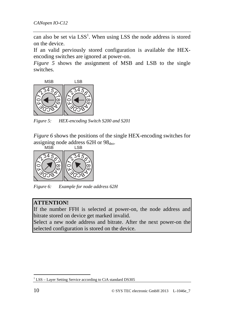can also be set via  $LSS<sup>1</sup>$ . When using LSS the node address is stored on the device.

If an valid perviously stored configuration is available the HEXencoding switches are ignored at power-on.

*Figure 5* shows the assignment of MSB and LSB to the single switches.



*Figure 5: HEX-encoding Switch S200 and S201* 

*Figure 6* shows the positions of the single HEX-encoding switches for assigning node address  $62H$  or  $98_{\text{dez}}$ .<br>  $\angle$  LSB



*Figure 6: Example for node address 62H* 

#### **ATTENTION!**

If the number FFH is selected at power-on, the node address and bitrate stored on device get marked invalid.

Select a new node address and bitrate. After the next power-on the selected configuration is stored on the device.

 $\ddot{\phantom{a}}$ <sup>1</sup> LSS – Layer Setting Service according to CiA standard DS305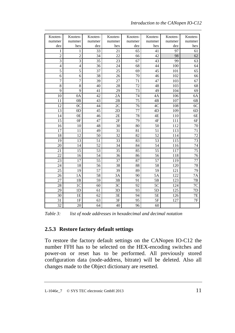| Knoten-        | Knoten-        | Knoten-         | Knoten- $\ $   | Knoten- | Knoten- $\ $ | Knoten- | Knoten- |
|----------------|----------------|-----------------|----------------|---------|--------------|---------|---------|
| nummer         | nummer         | nummer          | nummer         | nummer  | nummer       | nummer  | nummer  |
| dez            | hex            | dez             | hex            | dez     | hex          | dez     | hex     |
| 1              | 1              | 33              | 21             | 65      | 41           | 97      | 61      |
| $\overline{2}$ | $\overline{c}$ | 34              | 22             | 66      | 42           | 98      | 62      |
| $\overline{3}$ | 3              | 35              | 23             | 67      | 43           | 99      | 63      |
| $\overline{4}$ | $\overline{4}$ | 36              | 24             | 68      | 44           | 100     | 64      |
| $\overline{5}$ | 5              | 37              | 25             | 69      | 45           | 101     | 65      |
| 6              | 6              | 38              | 26             | 70      | 46           | 102     | 66      |
| $\overline{7}$ | $\overline{7}$ | 39              | 27             | 71      | 47           | 103     | 67      |
| 8              | 8              | 40              | 28             | 72      | 48           | 103     | 68      |
| 9              | 9              | 41              | 29             | 73      | 49           | 104     | 69      |
| 10             | 0A             | 42              | 2A             | 74      | 4A           | 106     | 6A      |
| 11             | 0B             | 43              | 2B             | 75      | 4B           | 107     | 6B      |
| 12             | 0 <sub>C</sub> | 44              | 2C             | 76      | 4C           | 108     | 6C      |
| 13             | 0 <sub>D</sub> | 45              | 2D             | 77      | 4D           | 109     | 6D      |
| 14             | 0E             | 46              | 2E             | 78      | 4E           | 110     | 6E      |
| 15             | 0F             | 47              | 2F             | 79      | 4F           | 111     | 6F      |
| 16             | 10             | 48              | 30             | 80      | 50           | 112     | 70      |
| 17             | 11             | 49              | 31             | 81      | 51           | 113     | 71      |
| 18             | 12             | 50              | 32             | 82      | 52           | 114     | 72      |
| 19             | 13             | 51              | 33             | 83      | 53           | 115     | 73      |
| 20             | 14             | 52              | 34             | 84      | 54           | 116     | 74      |
| 21             | 15             | 53              | 35             | 85      | 55           | 117     | 75      |
| 22             | 16             | 54              | 36             | 86      | 56           | 118     | 76      |
| 23             | 17             | 55              | 37             | 87      | 57           | 119     | 77      |
| 24             | 18             | 56              | 38             | 88      | 58           | 120     | 78      |
| 25             | 19             | 57              | 39             | 89      | 59           | 121     | 79      |
| 26             | 1A             | $\overline{58}$ | 3A             | 90      | 5A           | 122     | 7A      |
| 27             | $1\mathrm{B}$  | 59              | 3B             | 91      | 5B           | 123     | 7B      |
| 28             | 1 <sup>C</sup> | 60              | 3 <sup>C</sup> | 92      | 5C           | 124     | 7C      |
| 29             | 1 <sub>D</sub> | 61              | 3D             | 93      | 5D           | 125     | 7D      |
| 30             | 1E             | 62              | 3E             | 94      | 5E           | 126     | 7E      |
| 31             | 1F             | 63              | 3F             | 95      | 5F           | 127     | 7F      |
| 32             | 20             | 64              | 40             | 96      | 60           |         |         |

 *Introduction to the CANopen IO-C12* 

*Table 3: list of node addresses in hexadecimal and decimal notation* 

#### **2.5.3 Restore factory default settings**

To restore the factory default settings on the CANopen IO-C12 the number FFH has to be selected on the HEX-encoding switches and power-on or reset has to be performed. All previously stored configuration data (node-address, bitrate) will be deleted. Also all changes made to the Object dictionary are resetted.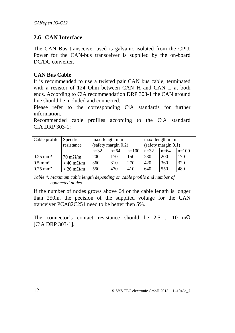### **2.6 CAN Interface**

The CAN Bus transceiver used is galvanic isolated from the CPU. Power for the CAN-bus transceiver is supplied by the on-board DC/DC converter.

### **CAN Bus Cable**

It is recommended to use a twisted pair CAN bus cable, terminated with a resistor of 124 Ohm between CAN\_H and CAN\_L at both ends. According to CiA recommendation DRP 303-1 the CAN ground line should be included and connected.

Please refer to the corresponding CiA standards for further information.

Recommended cable profiles according to the CiA standard CiA DRP 303-1:

| Cable profile          | Specific               | max. length in m    |        |         | max. length in m |                     |         |
|------------------------|------------------------|---------------------|--------|---------|------------------|---------------------|---------|
|                        | resistance             | (safety margin 0.2) |        |         |                  | (safety margin 0.1) |         |
|                        |                        | $n=32$              | $n=64$ | $n=100$ | $n=32$           | $n=64$              | $n=100$ |
| $0.25$ mm <sup>2</sup> | $70 \text{ m}\Omega/m$ | 200                 | 170    | 150     | 230              | 200                 | 170     |
| $0.5$ mm <sup>2</sup>  | $<$ 40 m $\Omega$ /m   | 360                 | 310    | 270     | 420              | 360                 | 320     |
| $0.75 \text{ mm}^2$    | $<$ 26 m $\Omega$ /m   | 550                 | 470    | 410     | 640              | 550                 | 480     |

*Table 4: Maximum cable length depending on cable profile and number of connected nodes* 

If the number of nodes grows above 64 or the cable length is longer than 250m, the pecision of the supplied voltage for the CAN tranceiver PCA82C251 need to be better then 5%.

The connector's contact resistance should be 2.5 .. 10 m $\Omega$ [CiA DRP 303-1].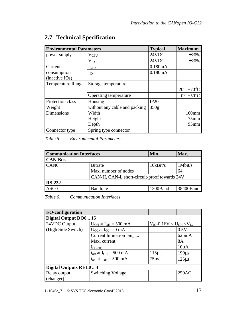| <b>Environmental Parameters</b> |                               | <b>Typical</b> | <b>Maximum</b>                |
|---------------------------------|-------------------------------|----------------|-------------------------------|
| power supply                    | $V_{CPU}$                     | 24VDC          | $\pm 20\%$                    |
|                                 | $V_{IO}$                      | 24VDC          | $\pm 20\%$                    |
| Current                         | $I_{CPU}$                     | 0.180mA        |                               |
| consumption                     | $I_{IO}$                      | 0.180mA        |                               |
| (inactive IOs)                  |                               |                |                               |
| <b>Temperature Range</b>        | Storage temperature           |                |                               |
|                                 |                               |                | $20^{\circ}$ +70 $^{\circ}$ C |
|                                 | Operating temperature         |                | $0^{\circ}$ +50 $^{\circ}$ C  |
| Protection class                | Housing                       | IP20           |                               |
| Weight                          | without any cable and packing | 350g           |                               |
| <b>Dimensions</b>               | Width                         |                | 160mm                         |
|                                 | Height                        |                | $75$ mm                       |
|                                 | Depth                         |                | $95$ mm                       |
| Connector type                  | Spring type connector         |                |                               |

## **2.7 Technical Specification**

*Table 5: Environmental Parameters* 

| <b>Communication Interfaces</b> |                                              | Min.     | Max.       |  |  |
|---------------------------------|----------------------------------------------|----------|------------|--|--|
| <b>CAN-Bus</b>                  |                                              |          |            |  |  |
| CAN <sub>0</sub>                | <b>B</b> itrate                              | 10kBit/s | $1$ Mbit/s |  |  |
|                                 | Max. number of nodes                         |          | 64         |  |  |
|                                 | CAN-H, CAN-L short-circuit-proof towards 24V |          |            |  |  |
| <b>RS-232</b>                   |                                              |          |            |  |  |
| ASC <sub>0</sub>                | Baudrate                                     | 1200Baud | 38400Baud  |  |  |

*Table 6: Communication Interfaces* 

| I/O-configuration     |                                    |                                    |            |  |  |  |
|-----------------------|------------------------------------|------------------------------------|------------|--|--|--|
|                       | Digital Output DO0  15             |                                    |            |  |  |  |
| 24VDC Output          | $U_{OH}$ at $I_{OH} = 500$ mA      | $V_{IO} - 0,16V < U_{OH} < V_{IO}$ |            |  |  |  |
| (High Side Switch)    | $U_{OL}$ at $I_{OL} = 0$ mA        |                                    | 0.5V       |  |  |  |
|                       | Current limitation $I_{OH \, max}$ |                                    | 625mA      |  |  |  |
| Max. current          |                                    |                                    | <b>8A</b>  |  |  |  |
| $I_{OL(off)}$         |                                    |                                    | $10\mu A$  |  |  |  |
|                       | $t_{off}$ at $I_{OH} = 500$ mA     | $115\mu s$                         | $190\mu s$ |  |  |  |
|                       | $t_{on}$ at $I_{OH} = 500$ mA      | $75\mu s$                          | $125\mu s$ |  |  |  |
| Digital Outputs REL03 |                                    |                                    |            |  |  |  |
| Relay output          | <b>Switching Voltage</b>           |                                    | 250AC      |  |  |  |
| (changer)             |                                    |                                    |            |  |  |  |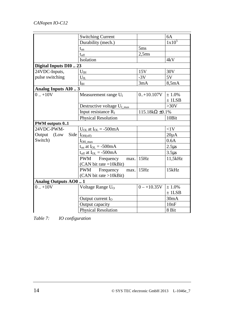|                             | <b>Switching Current</b>                |                           | 6A           |
|-----------------------------|-----------------------------------------|---------------------------|--------------|
|                             | Durability (mech.)                      |                           | $1x10^5$     |
|                             | $t_{on}$                                | 5ms                       |              |
|                             | $t_{off}$                               | 2,5 <sub>ms</sub>         |              |
|                             | Isolation                               |                           | 4kV          |
| Digital Inputs DI023        |                                         |                           |              |
| 24VDC-Inputs,               | $U_{\text{IH}}$                         | 15V                       | 30V          |
| pulse switching             | $U_{IL}$                                | $-3V$                     | 5V           |
|                             | $I_{\rm IH}$                            | 3mA                       | 8,5mA        |
| <b>Analog Inputs AI0  3</b> |                                         |                           |              |
| $0. + 10V$                  | Measurement range $U_I$                 | $0.+10.107V$              | ± 1.0%       |
|                             |                                         |                           | $±$ 1LSB     |
|                             | Destructive voltage $U_{I \text{ max}}$ |                           | >30V         |
|                             | Input resistance $R_I$                  | $115.18k\Omega \pm 0.1\%$ |              |
|                             | <b>Physical Resolution</b>              |                           | 10Bit        |
| <b>PWM</b> outputs 01       |                                         |                           |              |
| 24VDC-PWM-                  | $U_{OL}$ at $I_{OL} = -500$ mA          |                           | $\langle$ 1V |
| Output (Low                 | Side $I_{OH(off)}$                      |                           | $20\mu A$    |
| Switch)                     | $I_{OH\_max}$                           |                           | 0.6A         |
|                             | $t_{on}$ at $I_{OL} = -500$ mA          |                           | $2.5\mu s$   |
|                             | $t_{off}$ at $I_{OL} = -500$ mA         |                           | $3.5\mu s$   |
|                             | PWM Frequency<br>max.                   | 15Hz                      | 11,5kHz      |
|                             | $(CAN bit rate = 10kBit)$               |                           |              |
|                             | <b>PWM</b><br>Frequency<br>max.         | 15Hz                      | 15kHz        |
|                             | (CAN bit rate > 10kBit)                 |                           |              |
| <b>Analog Outputs AO01</b>  |                                         |                           |              |
| $0. + 10V$                  | Voltage Range $U_0$                     | $0 - +10.35V$             | $± 1.0\%$    |
|                             |                                         |                           | $±$ 1LSB     |
|                             | Output current I <sub>O</sub>           |                           | 30mA         |
|                             | Output capacity                         |                           | 10nF         |
|                             | <b>Physical Resolution</b>              |                           | 8 Bit        |

*Table 7: IO configuration*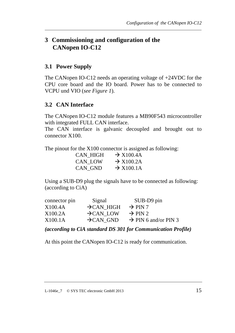## **3 Commissioning and configuration of the CANopen IO-C12**

## **3.1 Power Supply**

The CANopen IO-C12 needs an operating voltage of +24VDC for the CPU core board and the IO board. Power has to be connected to VCPU und VIO (*see Figure 1*).

## **3.2 CAN Interface**

The CANopen IO-C12 module features a MB90F543 microcontroller with integrated FULL CAN interface.

The CAN interface is galvanic decoupled and brought out to connector X100.

The pinout for the X100 connector is assigned as following:

| <b>CAN HIGH</b> | $\rightarrow$ X100.4A |
|-----------------|-----------------------|
| CAN LOW         | $\rightarrow$ X100.2A |
| CAN GND         | $\rightarrow$ X100.1A |

Using a SUB-D9 plug the signals have to be connected as following: (according to CiA)

| Signal                 | SUB-D9 pin                       |
|------------------------|----------------------------------|
| $\rightarrow$ CAN HIGH | $\rightarrow$ PIN 7              |
| $\rightarrow$ CAN LOW  | $\rightarrow$ PIN 2              |
| $\rightarrow$ CAN GND  | $\rightarrow$ PIN 6 and/or PIN 3 |
|                        |                                  |

*(according to CiA standard DS 301 for Communication Profile)* 

At this point the CANopen IO-C12 is ready for communication.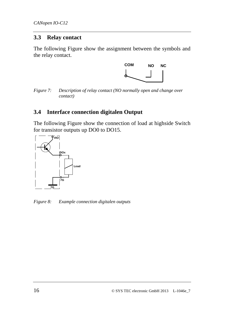#### **3.3 Relay contact**

The following Figure show the assignment between the symbols and the relay contact.



*Figure 7: Description of relay contact (NO normally open and change over contact)* 

## **3.4 Interface connection digitalen Output**

The following Figure show the connection of load at highside Switch for transistor outputs up DO0 to DO15.



*Figure 8: Example connection digitalen outputs*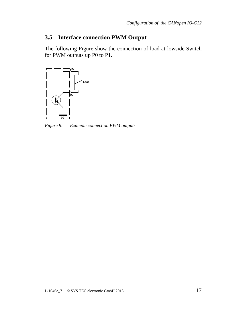## **3.5 Interface connection PWM Output**

The following Figure show the connection of load at lowside Switch for PWM outputs up P0 to P1.



*Figure 9: Example connection PWM outputs*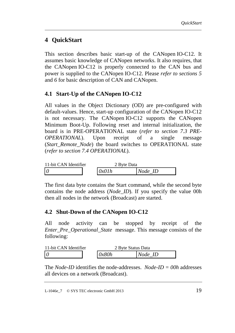## **4 QuickStart**

This section describes basic start-up of the CANopen IO-C12. It assumes basic knowledge of CANopen networks. It also requires, that the CANopen IO-C12 is properly connected to the CAN bus and power is supplied to the CANopen IO-C12. Please *refer to sections 5* and *6* for basic description of CAN and CANopen.

## **4.1 Start-Up of the CANopen IO-C12**

All values in the Object Dictionary (OD) are pre-configured with default-values. Hence, start-up configuration of the CANopen IO-C12 is not necessary. The CANopen IO-C12 supports the CANopen Minimum Boot-Up. Following reset and internal initialization, the board is in PRE-OPERATIONAL state (*refer to section 7.3 PRE-OPERATIONAL*). Upon receipt of a single message (*Start\_Remote\_Node*) the board switches to OPERATIONAL state (*refer to section 7.4 OPERATIONAL*).

| 11-bit CAN Identifier |       | 2 Byte Data |
|-----------------------|-------|-------------|
|                       | 0x01h | $Node$ ID   |

The first data byte contains the Start command, while the second byte contains the node address (*Node\_ID*). If you specify the value 00h then all nodes in the network (Broadcast) are started.

## **4.2 Shut-Down of the CANopen IO-C12**

All node activity can be stopped by receipt of the *Enter\_Pre\_Operational\_State* message. This message consists of the following:

| 11-bit CAN Identifier |       | 2 Byte Status Data |
|-----------------------|-------|--------------------|
|                       | 0x80h | $Node$ ID          |

The *Node-ID* identifies the node-addresses. *Node-ID = 00h* addresses all devices on a network (Broadcast).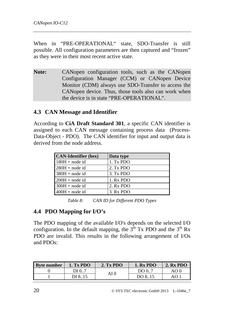When in "PRE-OPERATIONAL" state, SDO-Transfer is still possible. All configuration parameters are then captured and "frozen" as they were in their most recent active state.

**Note:** CANopen configuration tools, such as the CANopen Configuration Manager (CCM) or CANopen Device Monitor (CDM) always use SDO-Transfer to access the CANopen device. Thus, those tools also can work when the device is in state "PRE-OPERATIONAL".

## **4.3 CAN Message and Identifier**

According to **CiA Draft Standard 301**, a specific CAN identifier is assigned to each CAN message containing process data (Process-Data-Object - PDO). The CAN identifier for input and output data is derived from the node address.

| <b>CAN-Identifier (hex)</b> | Data type |
|-----------------------------|-----------|
| $180H + node$ id            | 1. Tx PDO |
| $280H + node$ id            | 2. Tx PDO |
| $380H + node$ id            | 3. Tx PDO |
| $200H + node$ id            | 1. Rx PDO |
| $300H + node$ id            | 2. Rx PDO |
| $400H + node$ id            | 3. Rx PDO |

*Table 8: CAN ID for Different PDO Types* 

## **4.4 PDO Mapping for I/O's**

The PDO mapping of the available I/O's depends on the selected I/O configuration. In the default mapping, the  $3^{th}$  Tx PDO and the  $3^{th}$  Rx PDO are invalid. This results in the following arrangement of I/Os and PDOs:

| <b>Byte number</b> | 1. Tx PDO | 2. Tx PDO | <b>1. Rx PDO</b> | $2. \mathbf{Rx} \, \mathbf{PDO}$ |
|--------------------|-----------|-----------|------------------|----------------------------------|
|                    | DI 07     |           | DO 0.            |                                  |
|                    | DI 815    | Al 0      | DO 815           |                                  |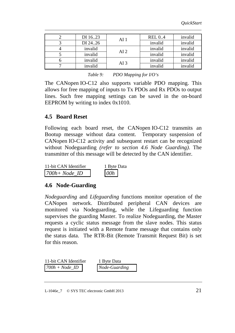| DI 16.23 | AI <sub>1</sub> | <b>REL 0.4</b> | invalid |
|----------|-----------------|----------------|---------|
| DI 24.26 |                 | invalid        | invalid |
| invalid  | AI <sub>2</sub> | invalid        | invalid |
| invalid  |                 | invalid        | invalid |
| invalid  | AI <sub>3</sub> | invalid        | invalid |
| invalid  |                 | invalid        | invalid |

*Table 9: PDO Mapping for I/O's* 

The CANopen IO-C12 also supports variable PDO mapping. This allows for free mapping of inputs to Tx PDOs and Rx PDOs to output lines. Such free mapping settings can be saved in the on-board EEPROM by writing to index 0x1010.

### **4.5 Board Reset**

Following each board reset, the CANopen IO-C12 transmits an Bootup message without data content. Temporary suspension of CANopen IO-C12 activity and subsequent restart can be recognized without Nodeguarding *(refer to section 4.6 Node Guarding)*. The transmitter of this message will be detected by the CAN identifier.

| 11-bit CAN Identifier |  |  |  |
|-----------------------|--|--|--|
| $700h + Node$ ID      |  |  |  |

1 Byte Data *700h+ Node\_ID 00h*

### **4.6 Node-Guarding**

*Nodeguarding* and *Lifeguarding* functions monitor operation of the CANopen network. Distributed peripheral CAN devices are monitored via Nodeguarding, while the Lifeguarding function supervises the guarding Master. To realize Nodeguarding, the Master requests a cyclic status message from the slave nodes. This status request is initiated with a Remote frame message that contains only the status data. The RTR-Bit (Remote Transmit Request Bit) is set for this reason.

| 11-bit CAN Identifier        | 1 Byte Data   |
|------------------------------|---------------|
| $700h + Node$ <sub>_ID</sub> | Node-Guarding |

L-1046e\_7 © SYS TEC electronic GmbH 2013 21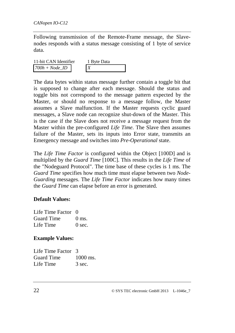Following transmission of the Remote-Frame message, the Slavenodes responds with a status message consisting of 1 byte of service data.

| 11-bit CAN Identifier | 1 Byte Data |
|-----------------------|-------------|
| $700h + Node$ ID      |             |

The data bytes within status message further contain a toggle bit that is supposed to change after each message. Should the status and toggle bits not correspond to the message pattern expected by the Master, or should no response to a message follow, the Master assumes a Slave malfunction. If the Master requests cyclic guard messages, a Slave node can recognize shut-down of the Master. This is the case if the Slave does not receive a message request from the Master within the pre-configured *Life Time*. The Slave then assumes failure of the Master, sets its inputs into Error state, transmits an Emergency message and switches into *Pre-Operational* state.

The *Life Time Factor* is configured within the Object [100D] and is multiplied by the *Guard Time* [100C]. This results in the *Life Time* of the "Nodeguard Protocol". The time base of these cycles is 1 ms. The *Guard Time* specifies how much time must elapse between two *Node-Guarding* messages. The *Life Time Factor* indicates how many times the *Guard Time* can elapse before an error is generated.

#### **Default Values:**

| Life Time Factor 0 |                |
|--------------------|----------------|
| <b>Guard Time</b>  | $0 \text{ ms}$ |
| Life Time          | $0$ sec.       |

#### **Example Values:**

| Life Time Factor 3 |                     |
|--------------------|---------------------|
| Guard Time         | $1000 \text{ ms}$ . |
| Life Time          | 3 sec.              |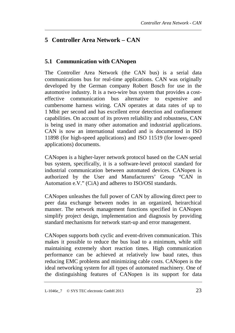## **5 Controller Area Network – CAN**

## **5.1 Communication with CANopen**

The Controller Area Network (the CAN bus) is a serial data communications bus for real-time applications. CAN was originally developed by the German company Robert Bosch for use in the automotive industry. It is a two-wire bus system that provides a costeffective communication bus alternative to expensive and cumbersome harness wiring. CAN operates at data rates of up to 1 Mbit per second and has excellent error detection and confinement capabilities. On account of its proven reliability and robustness, CAN is being used in many other automation and industrial applications. CAN is now an international standard and is documented in ISO 11898 (for high-speed applications) and ISO 11519 (for lower-speed applications) documents.

CANopen is a higher-layer network protocol based on the CAN serial bus system, specifically, it is a software-level protocol standard for industrial communication between automated devices. CANopen is authorized by the User and Manufacturers' Group "CAN in Automation e.V." (CiA) and adheres to ISO/OSI standards.

CANopen unleashes the full power of CAN by allowing direct peer to peer data exchange between nodes in an organized, heirarchical manner. The network management functions specified in CANopen simplify project design, implementation and diagnosis by providing standard mechanisms for network start-up and error management.

CANopen supports both cyclic and event-driven communication. This makes it possible to reduce the bus load to a minimum, while still maintaining extremely short reaction times. High communication performance can be achieved at relatively low baud rates, thus reducing EMC problems and minimizing cable costs. CANopen is the ideal networking system for all types of automated machinery. One of the distinguishing features of CANopen is its support for data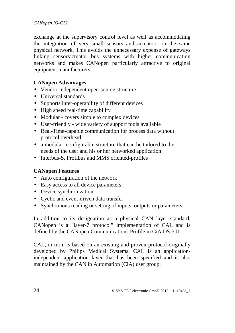exchange at the supervisory control level as well as accommodating the integration of very small sensors and actuators on the same physical network. This avoids the unnecessary expense of gateways linking sensor/actuator bus systems with higher communication networks and makes CANopen particularly attractive to original equipment manufacturers.

### **CANopen Advantages**

- Vendor-independent open-source structure
- Universal standards
- Supports inter-operability of different devices
- High speed real-time capability
- Modular covers simple to complex devices
- User-friendly wide variety of support tools available
- Real-Time-capable communication for process data without protocol overhead;
- a modular, configurable structure that can be tailored to the needs of the user and his or her networked application
- Interbus-S, Profibus and MMS oriented-profiles

## **CANopen Features**

- Auto configuration of the network
- Easy access to all device parameters
- Device synchronization
- Cyclic and event-driven data transfer
- Synchronous reading or setting of inputs, outputs or parameters

In addition to its designation as a physical CAN layer standard, CANopen is a "layer-7 protocol" implementation of CAL and is defined by the CANopen Communications Profile in CiA DS-301.

CAL, in turn, is based on an existing and proven protocol originally developed by Philips Medical Systems. CAL is an applicationindependent application layer that has been specified and is also maintained by the CAN in Automation (CiA) user group.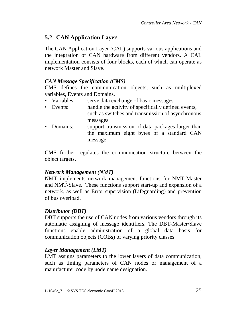## **5.2 CAN Application Layer**

The CAN Application Layer (CAL) supports various applications and the integration of CAN hardware from different vendors. A CAL implementation consists of four blocks, each of which can operate as network Master and Slave.

## *CAN Message Specification (CMS)*

CMS defines the communication objects, such as multiplexed variables, Events and Domains.

- Variables: serve data exchange of basic messages
- Events: handle the activity of specifically defined events, such as switches and transmission of asynchronous messages
- Domains: support transmission of data packages larger than the maximum eight bytes of a standard CAN message

CMS further regulates the communication structure between the object targets.

### *Network Management (NMT)*

NMT implements network management functions for NMT-Master and NMT-Slave. These functions support start-up and expansion of a network, as well as Error supervision (Lifeguarding) and prevention of bus overload.

### *Distributor (DBT)*

DBT supports the use of CAN nodes from various vendors through its automatic assigning of message identifiers. The DBT-Master/Slave functions enable administration of a global data basis for communication objects (COBs) of varying priority classes.

### *Layer Management (LMT)*

LMT assigns parameters to the lower layers of data communication, such as timing parameters of CAN nodes or management of a manufacturer code by node name designation.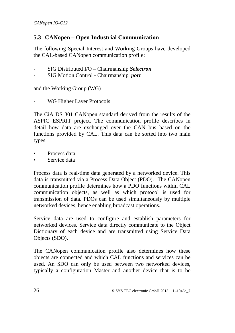## **5.3 CANopen – Open Industrial Communication**

The following Special Interest and Working Groups have developed the CAL-based CANopen communication profile:

- SIG Distributed I/O Chairmanship *Selectron*
- SIG Motion Control Chairmanship *port*

and the Working Group (WG)

WG Higher Layer Protocols

The CiA DS 301 CANopen standard derived from the results of the ASPIC ESPRIT project. The communication profile describes in detail how data are exchanged over the CAN bus based on the functions provided by CAL. This data can be sorted into two main types:

- Process data
- Service data

Process data is real-time data generated by a networked device. This data is transmitted via a Process Data Object (PDO). The CANopen communication profile determines how a PDO functions within CAL communication objects, as well as which protocol is used for transmission of data. PDOs can be used simultaneously by multiple networked devices, hence enabling broadcast operations.

Service data are used to configure and establish parameters for networked devices. Service data directly communicate to the Object Dictionary of each device and are transmitted using Service Data Objects (SDO).

The CANopen communication profile also determines how these objects are connected and which CAL functions and services can be used. An SDO can only be used between two networked devices, typically a configuration Master and another device that is to be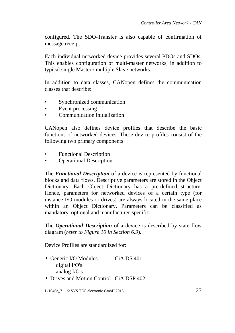configured. The SDO-Transfer is also capable of confirmation of message receipt.

Each individual networked device provides several PDOs and SDOs. This enables configuration of multi-master networks, in addition to typical single Master / multiple Slave networks.

In addition to data classes, CANopen defines the communication classes that describe:

- Synchronized communication
- Event processing
- Communication initialization

CANopen also defines device profiles that describe the basic functions of networked devices. These device profiles consist of the following two primary components:

- Functional Description
- Operational Description

The *Functional Description* of a device is represented by functional blocks and data flows. Descriptive parameters are stored in the Object Dictionary. Each Object Dictionary has a pre-defined structure. Hence, parameters for networked devices of a certain type (for instance I/O modules or drives) are always located in the same place within an Object Dictionary. Parameters can be classified as mandatory, optional and manufacturer-specific.

The *Operational Description* of a device is described by state flow diagram (*refer to Figure 10 in Section 6.9*).

Device Profiles are standardized for:

- Generic I/O Modules CiA DS 401 digital I/O's analog I/O's
- Drives and Motion Control CiA DSP 402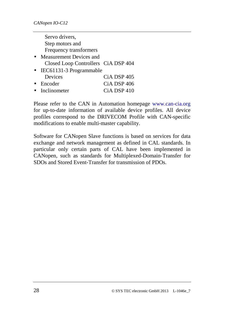| Servo drivers,                      |             |
|-------------------------------------|-------------|
| Step motors and                     |             |
| Frequency transformers              |             |
| <b>Measurement Devices and</b>      |             |
| Closed Loop Controllers CiA DSP 404 |             |
| • IEC61131-3 Programmable           |             |
| Devices                             | CiA DSP 405 |
| $\bullet$ Encoder                   | CiA DSP 406 |
| • Inclinometer                      | CiA DSP 410 |

Please refer to the CAN in Automation homepage www.can-cia.org for up-to-date information of available device profiles. All device profiles correspond to the DRIVECOM Profile with CAN-specific modifications to enable multi-master capability.

Software for CANopen Slave functions is based on services for data exchange and network management as defined in CAL standards. In particular only certain parts of CAL have been implemented in CANopen, such as standards for Multiplexed-Domain-Transfer for SDOs and Stored Event-Transfer for transmission of PDOs.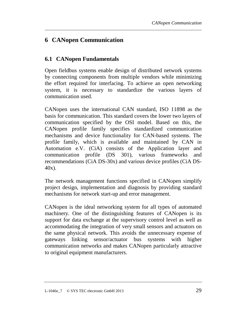# **6 CANopen Communication**

### **6.1 CANopen Fundamentals**

Open fieldbus systems enable design of distributed network systems by connecting components from multiple vendors while minimizing the effort required for interfacing. To achieve an open networking system, it is necessary to standardize the various layers of communication used.

CANopen uses the international CAN standard, ISO 11898 as the basis for communication. This standard covers the lower two layers of communication specified by the OSI model. Based on this, the CANopen profile family specifies standardized communication mechanisms and device functionality for CAN-based systems. The profile family, which is available and maintained by CAN in Automation e.V. (CiA) consists of the Application layer and communication profile (DS 301), various frameworks and recommendations (CiA DS-30x) and various device profiles (CiA DS-40x).

The network management functions specified in CANopen simplify project design, implementation and diagnosis by providing standard mechanisms for network start-up and error management.

CANopen is the ideal networking system for all types of automated machinery. One of the distinguishing features of CANopen is its support for data exchange at the supervisory control level as well as accommodating the integration of very small sensors and actuators on the same physical network. This avoids the unnecessary expense of gateways linking sensor/actuator bus systems with higher communication networks and makes CANopen particularly attractive to original equipment manufacturers.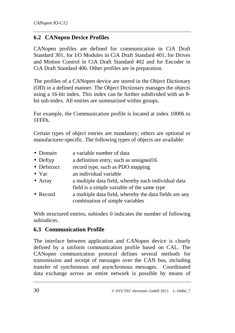### **6.2 CANopen Device Profiles**

CANopen profiles are defined for communication in CiA Draft Standard 301, for I/O Modules in CiA Draft Standard 401, for Drives and Motion Control in CiA Draft Standard 402 and for Encoder in CiA Draft Standard 406. Other profiles are in preparation.

The profiles of a CANopen device are stored in the Object Dictionary (OD) in a defined manner. The Object Dictionary manages the objects using a 16-bit index. This index can be further subdivided with an 8 bit sub-index. All entries are summarized within groups.

For example, the Communication profile is located at index 1000h to 1FFFh.

Certain types of object entries are mandatory; others are optional or manufacturer-specific. The following types of objects are available:

- Domain a variable number of data
- Deftyp a definition entry, such as unsigned 16
- Defstruct record type, such as PDO mapping
- Var an individual variable
- Array a multiple data field, whereby each individual data field is a simple variable of the same type
- Record a multiple data field, whereby the data fields are any combination of simple variables

With structured entries, subindex 0 indicates the number of following subindices.

### **6.3 Communication Profile**

The interface between application and CANopen device is clearly defined by a uniform communication profile based on CAL. The CANopen communication protocol defines several methods for transmission and receipt of messages over the CAN bus, including transfer of synchronous and asynchronous messages. Coordinated data exchange across an entire network is possible by means of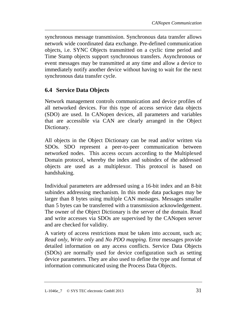synchronous message transmission. Synchronous data transfer allows network wide coordinated data exchange. Pre-defined communication objects, i.e. SYNC Objects transmitted on a cyclic time period and Time Stamp objects support synchronous transfers. Asynchronous or event messages may be transmitted at any time and allow a device to immediately notify another device without having to wait for the next synchronous data transfer cycle.

### **6.4 Service Data Objects**

Network management controls communication and device profiles of all networked devices. For this type of access service data objects (SDO) are used. In CANopen devices, all parameters and variables that are accessible via CAN are clearly arranged in the Object Dictionary.

All objects in the Object Dictionary can be read and/or written via SDOs. SDO represent a peer-to-peer communication between networked nodes. This access occurs according to the Multiplexed Domain protocol, whereby the index and subindex of the addressed objects are used as a multiplexor. This protocol is based on handshaking.

Individual parameters are addressed using a 16-bit index and an 8-bit subindex addressing mechanism. In this mode data packages may be larger than 8 bytes using multiple CAN messages. Messages smaller than 5 bytes can be transferred with a transmission acknowledgement. The owner of the Object Dictionary is the server of the domain. Read and write accesses via SDOs are supervised by the CANopen server and are checked for validity.

A variety of access restrictions must be taken into account, such as; *Read only, Write only* and *No PDO mapping.* Error messages provide detailed information on any access conflicts. Service Data Objects (SDOs) are normally used for device configuration such as setting device parameters. They are also used to define the type and format of information communicated using the Process Data Objects.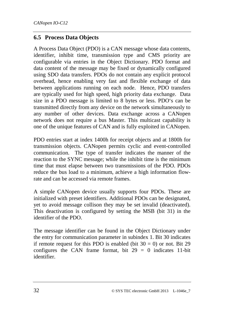#### **6.5 Process Data Objects**

A Process Data Object (PDO) is a CAN message whose data contents, identifier, inhibit time, transmission type and CMS priority are configurable via entries in the Object Dictionary. PDO format and data content of the message may be fixed or dynamically configured using SDO data transfers. PDOs do not contain any explicit protocol overhead, hence enabling very fast and flexible exchange of data between applications running on each node. Hence, PDO transfers are typically used for high speed, high priority data exchange. Data size in a PDO message is limited to 8 bytes or less. PDO's can be transmitted directly from any device on the network simultaneously to any number of other devices. Data exchange across a CANopen network does not require a bus Master. This multicast capability is one of the unique features of CAN and is fully exploited in CANopen.

PDO entries start at index 1400h for receipt objects and at 1800h for transmission objects. CANopen permits cyclic and event-controlled communication. The type of transfer indicates the manner of the reaction to the SYNC message; while the inhibit time is the minimum time that must elapse between two transmissions of the PDO. PDOs reduce the bus load to a minimum, achieve a high information flowrate and can be accessed via remote frames.

A simple CANopen device usually supports four PDOs. These are initialized with preset identifiers. Additional PDOs can be designated, yet to avoid message collison they may be set invalid (deactivated). This deactivation is configured by setting the MSB (bit 31) in the identifier of the PDO.

The message identifier can be found in the Object Dictionary under the entry for communication parameter in subindex 1. Bit 30 indicates if remote request for this PDO is enabled (bit  $30 = 0$ ) or not. Bit 29 configures the CAN frame format, bit  $29 = 0$  indicates 11-bit identifier.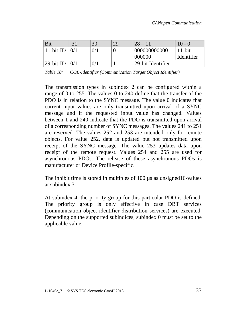| Bit         | 31  | 30  | 29 | $28 - 11$         | $10 - 0$   |
|-------------|-----|-----|----|-------------------|------------|
| $11-bit-ID$ | 0/1 | 0/1 |    | 000000000000      | $11$ -bit  |
|             |     |     |    | 000000            | Identifier |
| $29-bit-ID$ |     |     |    | 29-bit Identifier |            |

*Table 10: COB-Identifier (Communication Target Object Identifier)* 

The transmission types in subindex 2 can be configured within a range of 0 to 255. The values 0 to 240 define that the transfer of the PDO is in relation to the SYNC message. The value 0 indicates that current input values are only transmitted upon arrival of a SYNC message and if the requested input value has changed. Values between 1 and 240 indicate that the PDO is transmitted upon arrival of a corresponding number of SYNC messages. The values 241 to 251 are reserved. The values 252 and 253 are intended only for remote objects. For value 252, data is updated but not transmitted upon receipt of the SYNC message. The value 253 updates data upon receipt of the remote request. Values 254 and 255 are used for asynchronous PDOs. The release of these asynchronous PDOs is manufacturer or Device Profile-specific.

The inhibit time is stored in multiples of 100  $\mu$ s as unsigned16-values at subindex 3.

At subindex 4, the priority group for this particular PDO is defined. The priority group is only effective in case DBT services (communication object identifier distribution services) are executed. Depending on the supported subindices, subindex 0 must be set to the applicable value.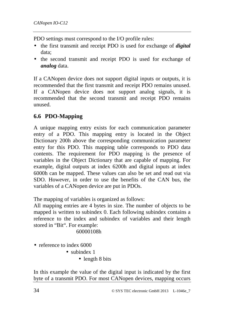PDO settings must correspond to the I/O profile rules:

- the first transmit and receipt PDO is used for exchange of *digital* data;
- the second transmit and receipt PDO is used for exchange of *analog* data.

If a CANopen device does not support digital inputs or outputs, it is recommended that the first transmit and receipt PDO remains unused. If a CANopen device does not support analog signals, it is recommended that the second transmit and receipt PDO remains unused.

# **6.6 PDO-Mapping**

A unique mapping entry exists for each communication parameter entry of a PDO. This mapping entry is located in the Object Dictionary 200h above the corresponding communication parameter entry for this PDO. This mapping table corresponds to PDO data contents. The requirement for PDO mapping is the presence of variables in the Object Dictionary that are capable of mapping. For example, digital outputs at index 6200h and digital inputs at index 6000h can be mapped. These values can also be set and read out via SDO. However, in order to use the benefits of the CAN bus, the variables of a CANopen device are put in PDOs.

The mapping of variables is organized as follows:

All mapping entries are 4 bytes in size. The number of objects to be mapped is written to subindex 0. Each following subindex contains a reference to the index and subindex of variables and their length stored in "Bit". For example:

60000108h

- reference to index 6000
	- subindex 1
		- length 8 bits

In this example the value of the digital input is indicated by the first byte of a transmit PDO. For most CANopen devices, mapping occurs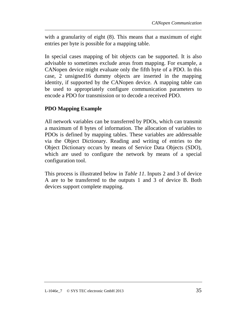with a granularity of eight (8). This means that a maximum of eight entries per byte is possible for a mapping table.

In special cases mapping of bit objects can be supported. It is also advisable to sometimes exclude areas from mapping. For example, a CANopen device might evaluate only the fifth byte of a PDO. In this case, 2 unsigned16 dummy objects are inserted in the mapping identity, if supported by the CANopen device. A mapping table can be used to appropriately configure communication parameters to encode a PDO for transmission or to decode a received PDO.

#### **PDO Mapping Example**

All network variables can be transferred by PDOs, which can transmit a maximum of 8 bytes of information. The allocation of variables to PDOs is defined by mapping tables. These variables are addressable via the Object Dictionary. Reading and writing of entries to the Object Dictionary occurs by means of Service Data Objects (SDO), which are used to configure the network by means of a special configuration tool.

This process is illustrated below in *Table 11*. Inputs 2 and 3 of device A are to be transferred to the outputs 1 and 3 of device B. Both devices support complete mapping.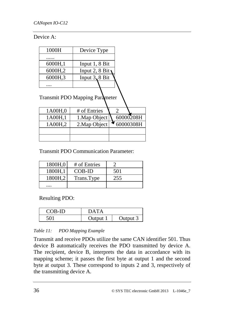#### Device A:

| 1000H              | Device Type           |
|--------------------|-----------------------|
|                    |                       |
| 6000H,1            | Input 1, 8 Bit        |
| 6000H <sub>2</sub> | Input 2, 8 Bit $\chi$ |
| 6000H <sub>3</sub> | Input $3,8$ Bit       |
|                    |                       |

# Transmit PDO Mapping Parameter

| 1A00H,0            | # of Entries  |           |
|--------------------|---------------|-----------|
| 1A00H,1            | 1. Map Object | 60000208H |
| 1A00H <sub>2</sub> | 2. Map Object | 60000308H |
|                    |               |           |
|                    |               |           |

#### Transmit PDO Communication Parameter:

| 1800H,0             | # of Entries |     |
|---------------------|--------------|-----|
| 1800H <sub>,1</sub> | COB-ID       | 501 |
| 1800H <sub>2</sub>  | Trans. Type  | 255 |
|                     |              |     |

Resulting PDO:

| COB-ID | <b>DATA</b> |          |
|--------|-------------|----------|
|        | Output 1    | Output 3 |

#### *Table 11: PDO Mapping Example*

Transmit and receive PDOs utilize the same CAN identifier 501. Thus device B automatically receives the PDO transmitted by device A. The recipient, device B, interprets the data in accordance with its mapping scheme; it passes the first byte at output 1 and the second byte at output 3. These correspond to inputs 2 and 3, respectively of the transmitting device A.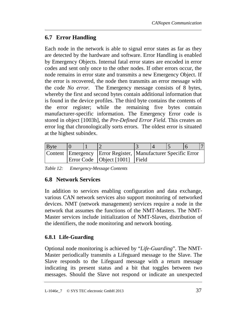# **6.7 Error Handling**

Each node in the network is able to signal error states as far as they are detected by the hardware and software. Error Handling is enabled by Emergency Objects. Internal fatal error states are encoded in error codes and sent only once to the other nodes. If other errors occur, the node remains in error state and transmits a new Emergency Object. If the error is recovered, the node then transmits an error message with the code *No error.* The Emergency message consists of 8 bytes, whereby the first and second bytes contain additional information that is found in the device profiles. The third byte contains the contents of the error register; while the remaining five bytes contain manufacturer-specific information. The Emergency Error code is stored in object [1003h], the *Pre-Defined Error Field*. This creates an error log that chronologically sorts errors. The oldest error is situated at the highest subindex.

| Byte |  |                                                                     |  |  |  |
|------|--|---------------------------------------------------------------------|--|--|--|
|      |  | Content   Emergency   Error Register,   Manufacturer Specific Error |  |  |  |
|      |  | Error Code   Object [1001]   Field                                  |  |  |  |

*Table 12: Emergency-Message Contents* 

### **6.8 Network Services**

In addition to services enabling configuration and data exchange, various CAN network services also support monitoring of networked devices. NMT (network management) services require a node in the network that assumes the functions of the NMT-Masters. The NMT-Master services include initialization of NMT-Slaves, distribution of the identifiers, the node monitoring and network booting.

### **6.8.1 Life-Guarding**

Optional node monitoring is achieved by "*Life-Guarding*". The NMT-Master periodically transmits a Lifeguard message to the Slave. The Slave responds to the Lifeguard message with a return message indicating its present status and a bit that toggles between two messages. Should the Slave not respond or indicate an unexpected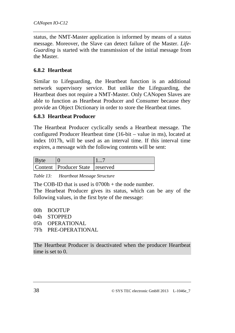status, the NMT-Master application is informed by means of a status message. Moreover, the Slave can detect failure of the Master. *Life-Guarding* is started with the transmission of the initial message from the Master.

#### **6.8.2 Heartbeat**

Similar to Lifeguarding, the Heartbeat function is an additional network supervisory service. But unlike the Lifeguarding, the Heartbeat does not require a NMT-Master. Only CANopen Slaves are able to function as Heartbeat Producer and Consumer because they provide an Object Dictionary in order to store the Heartbeat times.

#### **6.8.3 Heartbeat Producer**

The Heartbeat Producer cyclically sends a Heartbeat message. The configured Producer Heartbeat time (16-bit – value in ms), located at index 1017h, will be used as an interval time. If this interval time expires, a message with the following contents will be sent:

| Byte |                                     | $\mathbf{1} \cdots$ |
|------|-------------------------------------|---------------------|
|      | Content   Producer State   reserved |                     |

*Table 13: Heartbeat Message Structure* 

The COB-ID that is used is  $0700h +$  the node number.

The Hearbeat Producer gives its status, which can be any of the following values, in the first byte of the message:

00h BOOTUP 04h STOPPED 05h OPERATIONAL 7Fh PRE-OPERATIONAL

The Heartbeat Producer is deactivated when the producer Heartbeat time is set to 0.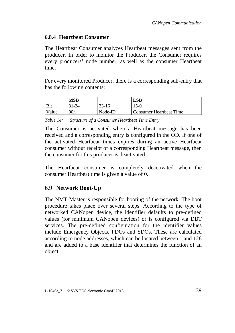#### **6.8.4 Heartbeat Consumer**

The Heartbeat Consumer analyzes Heartbeat messages sent from the producer. In order to monitor the Producer, the Consumer requires every producers' node number, as well as the consumer Heartbeat time.

For every monitored Producer, there is a corresponding sub-entry that has the following contents:

|           | <b>MSB</b> |         | LSB                            |
|-----------|------------|---------|--------------------------------|
| D.<br>DIU | $31 - 24$  | $23-16$ | 15-0                           |
| Value     | 00h        | Node-ID | <b>Consumer Heartbeat Time</b> |

*Table 14: Structure of a Consumer Heartbeat Time Entry* 

The Consumer is activated when a Heartbeat message has been received and a corresponding entry is configured in the OD. If one of the activated Heartbeat times expires during an active Heartbeat consumer without receipt of a corresponding Heartbeat message, then the consumer for this producer is deactivated.

The Heartbeat consumer is completely deactivated when the consumer Heartbeat time is given a value of 0.

### **6.9 Network Boot-Up**

The NMT-Master is responsible for booting of the network. The boot procedure takes place over several steps. According to the type of networked CANopen device, the identifier defaults to pre-defined values (for minimum CANopen devices) or is configured via DBT services. The pre-defined configuration for the identifier values include Emergency Objects, PDOs and SDOs. These are calculated according to node addresses, which can be located between 1 and 128 and are added to a base identifier that determines the function of an object.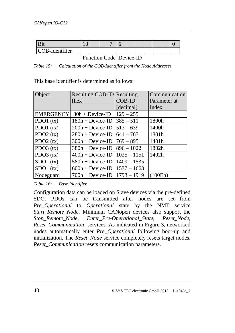| COB-Identifier |                          |                       |   |              |  |  |
|----------------|--------------------------|-----------------------|---|--------------|--|--|
|                | $\overline{\phantom{0}}$ | $\tilde{\phantom{0}}$ | – | $\mathbf{r}$ |  |  |

Function Code Device-ID

*Table 15: Calculation of the COB-Identifier from the Node Addresses* 

This base identifier is determined as follows:

| Object             | Resulting COB-ID Resulting |               | Communication |
|--------------------|----------------------------|---------------|---------------|
|                    | [hex]                      | <b>COB-ID</b> | Parameter at  |
|                    |                            | [decimal]     | Index         |
| <b>EMERGENCY</b>   | $80h + Device-ID$          | $129 - 255$   |               |
| PDO1 $(tx)$        | $180h + Device-ID$         | $385 - 511$   | 1800h         |
| PDO1 $(rx)$        | $200h + Device-ID$         | $513 - 639$   | 1400h         |
| PDO2 (tx)          | $280h + Device-ID$         | $641 - 767$   | 1801h         |
| PDO2 $(rx)$        | $300h + Device-ID$         | $769 - 895$   | 1401h         |
| PDO3 $(tx)$        | $380h + Device-ID$         | $896 - 1022$  | 1802h         |
| PDO3 $(rx)$        | $400h + Device-ID$         | $1025 - 1151$ | 1402h         |
| SDO.<br>(tx)       | $580h + Device-ID$         | $1409 - 1535$ |               |
| <b>SDO</b><br>(rx) | $600h + Device-ID$         | $1537 - 1663$ |               |
| Nodeguard          | $700h + Device-ID$         | $1793 - 1919$ | (100Eh)       |

*Table 16: Base Identifier* 

Configuration data can be loaded on Slave devices via the pre-defined SDO. PDOs can be transmitted after nodes are set from *Pre\_Operational* to *Operational* state by the NMT service *Start\_Remote\_Node*. Minimum CANopen devices also support the *Stop\_Remote\_Node*, *Enter\_Pre-Operational\_State*, *Reset\_Node*, *Reset\_Communication* services. As indicated in Figure 3, networked nodes automatically enter *Pre\_Operational* following boot-up and initialization. The *Reset\_Node* service completely resets target nodes. *Reset\_Communication* resets communication parameters.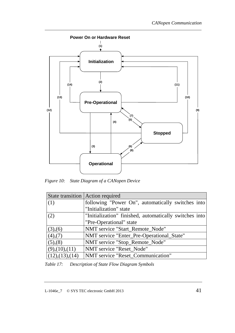

*Figure 10: State Diagram of a CANopen Device* 

|                         | State transition Action required                       |
|-------------------------|--------------------------------------------------------|
| (1)                     | following "Power On", automatically switches into      |
|                         | "Initialization" state                                 |
| (2)                     | "Initialization" finished, automatically switches into |
|                         | "Pre-Operational" state                                |
| (3),(6)                 | NMT service "Start_Remote_Node"                        |
| $(4)$ , $(7)$           | NMT service "Enter_Pre-Operational_State"              |
| (5),(8)                 | NMT service "Stop_Remote_Node"                         |
| $(9)$ , $(10)$ , $(11)$ | NMT service "Reset_Node"                               |
| (12),(13),(14)          | NMT service "Reset_Communication"                      |

*Table 17: Description of State Flow Diagram Symbols*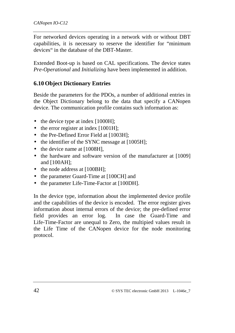For networked devices operating in a network with or without DBT capabilities, it is necessary to reserve the identifier for "minimum devices" in the database of the DBT-Master.

Extended Boot-up is based on CAL specifications. The device states *Pre-Operational* and *Initializing* have been implemented in addition.

### **6.10 Object Dictionary Entries**

Beside the parameters for the PDOs, a number of additional entries in the Object Dictionary belong to the data that specify a CANopen device. The communication profile contains such information as:

- the device type at index [1000H];
- the error register at index [1001H];
- the Pre-Defined Error Field at [1003H];
- the identifier of the SYNC message at [1005H];
- the device name at [1008H],
- the hardware and software version of the manufacturer at [1009] and [100AH];
- the node address at [100BH];
- the parameter Guard-Time at [100CH] and
- the parameter Life-Time-Factor at [100DH].

In the device type, information about the implemented device profile and the capabilities of the device is encoded. The error register gives information about internal errors of the device; the pre-defined error field provides an error log. In case the Guard-Time and Life-Time-Factor are unequal to Zero, the multipied values result in the Life Time of the CANopen device for the node monitoring protocol.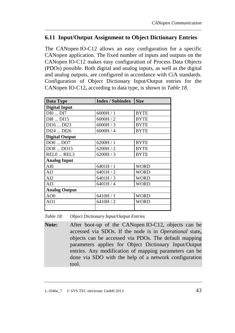### **6.11 Input/Output Assignment to Object Dictionary Entries**

The CANopen IO-C12 allows an easy configuration for a specific CANopen application. The fixed number of inputs and outputs on the CANopen IO-C12 makes easy configuration of Process Data Objects (PDOs) possible. Both digital and analog inputs, as well as the digital and analog outputs, are configured in accordance with CiA standards. Configuration of Object Dictionary Input/Output entries for the CANopen IO-C12**,** according to data type, is shown in *Table 18*.

| Data Type             | <b>Index / Subindex</b> | <b>Size</b> |
|-----------------------|-------------------------|-------------|
| <b>Digital Input</b>  |                         |             |
| DI0  DI7              | 6000H/1                 | <b>BYTE</b> |
| DI8  DI15             | 6000H / 2               | <b>BYTE</b> |
| DI16  DI23            | 6000H / 3               | <b>BYTE</b> |
| DI24  DI26            | 6000H/4                 | <b>BYTE</b> |
| <b>Digital Output</b> |                         |             |
| DO0  DO7              | 6200H/1                 | <b>BYTE</b> |
| DO8  DO15             | 6200H / 2               | <b>BYTE</b> |
| RELO  REL3            | 6200H/3                 | <b>BYTE</b> |
| <b>Analog Input</b>   |                         |             |
| AI0                   | 6401H/1                 | <b>WORD</b> |
| AI1                   | 6401H/2                 | <b>WORD</b> |
| AI2                   | 6401H/3                 | <b>WORD</b> |
| AI3                   | 6401H/4                 | <b>WORD</b> |
| <b>Analog Output</b>  |                         |             |
| AO <sub>0</sub>       | 6410H/1                 | <b>WORD</b> |
| AO1                   | 6410H / 2               | <b>WORD</b> |
|                       |                         |             |

*Table 18: Object Dictionary Input/Output Entries* 

**Note:** After boot-up of the CANopen IO-C12, objects can be accessed via SDOs. If the node is in *Operational* state**,** objects can be accessed via PDOs. The default mapping parameters applies for Object Dictionary Input/Output entries. Any modification of mapping parameters can be done via SDO with the help of a network configuration tool.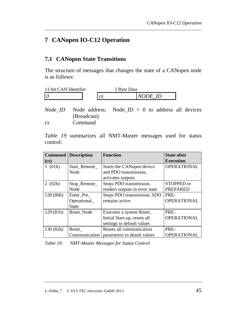# **7 CANopen IO-C12 Operation**

### **7.1 CANopen State Transitions**

The structure of messages that changes the state of a CANopen node is as follows:

| 11-bit CAN Identifier |                  | 2 Byte Data |
|-----------------------|------------------|-------------|
|                       | $\overline{c}$ s | NODE ID     |

*Node\_ID* Node address; Node\_ID = 0 to address all devices (Broadcast) *cs* Command

*Table 19* summarizes all NMT-Master messages used for status control:

| <b>Command</b> | <b>Description</b> | <b>Function</b>                             | <b>State after</b> |
|----------------|--------------------|---------------------------------------------|--------------------|
| $\left($ cs)   |                    |                                             | <b>Execution</b>   |
| 1(01h)         | Start_Remote_      | Starts the CANopen device                   | <b>OPERATIONAL</b> |
|                | Node               | and PDO transmission,                       |                    |
|                |                    | activates outputs                           |                    |
| 2(02h)         | Stop_Remote_       | Stops PDO transmission,                     | STOPPED or         |
|                | Node               | renders outputs in error state              | <b>PREPARED</b>    |
| 128 (80h)      | Enter_Pre_         | Stops PDO transmission, SDO                 | PRE-               |
|                | Operational        | remains active                              | <b>OPERATIONAL</b> |
|                | <b>State</b>       |                                             |                    |
| 129(81h)       | Reset_Node         | Executes a system Reset;                    | PRE-               |
|                |                    | Initial Start-up, resets all                | <b>OPERATIONAL</b> |
|                |                    | settings to default values                  |                    |
| 130 (82h)      | Reset              | Resets all communication                    | PRE-               |
|                |                    | Communication   parameters to deault values | <b>OPERATIONAI</b> |

*Table 19: NMT-Master Messages for Status Control*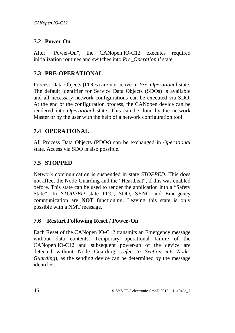### **7.2 Power On**

After "Power-On", the CANopen IO-C12 executes required initialization routines and switches into *Pre*\_*Operational* state.

# **7.3 PRE-OPERATIONAL**

Process Data Objects (PDOs) are not active in *Pre*\_*Operational* state. The default identifier for Service Data Objects (SDOs) is available and all necessary network configurations can be executed via SDO. At the end of the configuration process, the CANopen device can be rendered into *Operational* state. This can be done by the network Master or by the user with the help of a network configuration tool.

# **7.4 OPERATIONAL**

All Process Data Objects (PDOs) can be exchanged in *Operational* state. Access via SDO is also possible.

# **7.5 STOPPED**

Network communication is suspended in state *STOPPED*. This does not affect the Node-Guarding and the "Heartbeat", if this was enabled before. This state can be used to render the application into a "Safety State". In *STOPPED* state PDO, SDO, SYNC and Emergency communication are **NOT** functioning. Leaving this state is only possible with a NMT message.

# **7.6 Restart Following Reset / Power-On**

Each Reset of the CANopen IO-C12 transmits an Emergency message without data contents. Temporary operational failure of the CANopen IO-C12 and subsequent power-up of the device are detected without Node Guarding (*refer to Section 4.6 Node-Guarding*), as the sending device can be determined by the message identifier.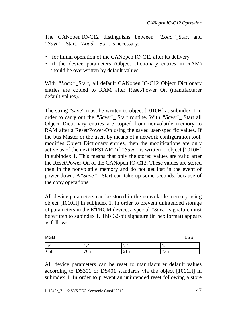The CANopen IO-C12 distinguishs between *"Load"*\_Start and *"Save"*\_ Start. *"Load"*\_Start is necessary:

- for initial operation of the CANopen IO-C12 after its delivery
- if the device parameters (Object Dictionary entries in RAM) should be overwritten by default values

With *"Load"*\_Start, all default CANopen IO-C12 Object Dictionary entries are copied to RAM after Reset/Power On (manufacturer default values).

The string "save" must be written to object [1010H] at subindex 1 in order to carry out the *"Save"*\_ Start routine. With *"Save"*\_ Start all Object Dictionary entries are copied from nonvolatile memory to RAM after a Reset/Power-On using the saved user-specific values. If the bus Master or the user, by means of a network configuration tool, modifies Object Dictionary entries, then the modifications are only active as of the next RESTART if *"Save"* is written to object [1010H] in subindex 1. This means that only the stored values are valid after the Reset/Power-On of the CANopen IO-C12. These values are stored then in the nonvolatile memory and do not get lost in the event of power-down. A*"Save"*\_ Start can take up some seconds, because of the copy operations.

All device parameters can be stored in the nonvolatile memory using object [1010H] in subindex 1. In order to prevent unintended storage of parameters in the E<sup>2</sup>PROM device, a special "Save" signature must be written to subindex 1. This 32-bit signature (in hex format) appears as follows:

| <b>MSB</b>    |     |     | <b>LSB</b>            |
|---------------|-----|-----|-----------------------|
| $^{\circ}$ e' | i   | a   | $\ddot{\bullet}$<br>ت |
| 65h           | 76h | 61h | 73h                   |

All device parameters can be reset to manufacturer default values according to DS301 or DS401 standards via the object [1011H] in subindex 1. In order to prevent an unintended reset following a store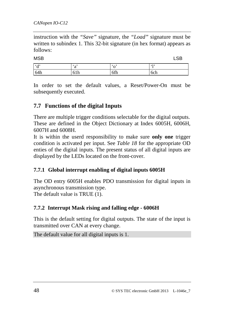instruction with the *"Save"* signature, the *"Load"* signature must be written to subindex 1. This 32-bit signature (in hex format) appears as follows:

| <b>MSB</b> |         |     | LSB |
|------------|---------|-----|-----|
| 6d<br>u    | ۰.<br>a |     | 612 |
| 64h        | 61h     | 6fh | 6ch |

In order to set the default values, a Reset/Power-On must be subsequently executed.

### **7.7 Functions of the digital Inputs**

There are multiple trigger conditions selectable for the digital outputs. These are defined in the Object Dictionary at Index 6005H, 6006H, 6007H and 6008H.

It is within the userd responsibility to make sure **only one** trigger condition is activated per input. See *Table 18* for the appropriate OD enties of the digital inputs. The present status of all digital inputs are displayed by the LEDs located on the front-cover.

#### **7.7.1 Global interrupt enabling of digital inputs 6005H**

The OD entry 6005H enables PDO transmission for digital inputs in asynchronous transmission type.

The default value is TRUE (1).

### **7.7.2 Interrupt Mask rising and falling edge - 6006H**

This is the default setting for digital outputs. The state of the input is transmitted over CAN at every change.

The default value for all digital inputs is 1.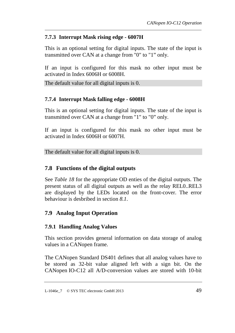#### **7.7.3 Interrupt Mask rising edge - 6007H**

This is an optional setting for digital inputs. The state of the input is transmitted over CAN at a change from "0" to "1" only.

If an input is configured for this mask no other input must be activated in Index 6006H or 6008H.

The default value for all digital inputs is 0.

#### **7.7.4 Interrupt Mask falling edge - 6008H**

This is an optional setting for digital inputs. The state of the input is transmitted over CAN at a change from "1" to "0" only.

If an input is configured for this mask no other input must be activated in Index 6006H or 6007H.

The default value for all digital inputs is 0.

# **7.8 Functions of the digital outputs**

See *Table 18* for the appropriate OD enties of the digital outputs. The present status of all digital outputs as well as the relay REL0..REL3 are displayed by the LEDs located on the front-cover. The error behaviour is desbribed in section *8.1*.

# **7.9 Analog Input Operation**

### **7.9.1 Handling Analog Values**

This section provides general information on data storage of analog values in a CANopen frame.

The CANopen Standard DS401 defines that all analog values have to be stored as 32-bit value aligned left with a sign bit. On the CANopen IO-C12 all A/D-conversion values are stored with 10-bit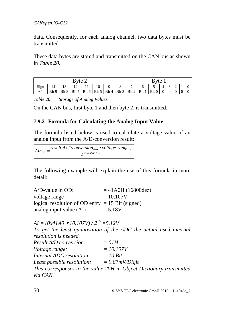data. Consequently, for each analog channel, two data bytes must be transmitted.

These data bytes are stored and transmitted on the CAN bus as shown in *Table 20*.

| Byte 2 |  |  |  |  |  | Byte |  |                                                                               |  |  |  |
|--------|--|--|--|--|--|------|--|-------------------------------------------------------------------------------|--|--|--|
| Sign   |  |  |  |  |  |      |  |                                                                               |  |  |  |
|        |  |  |  |  |  |      |  | Bit 9   Bit 8   Bit 7   Bit 6   Bit 5   Bit 4   Bit 3   Bit 2   Bit 1   Bit 0 |  |  |  |

*Table 20: Storage of Analog Values* 

On the CAN bus, first byte 1 and then byte 2, is transmitted.

#### **7.9.2 Formula for Calculating the Analog Input Value**

The formula listed below is used to calculate a voltage value of an analog input from the A/D-conversion result:

*resolution ADC* 2  $A In_{\text{IV}} = \frac{result \ A \ D \ conversion_{\text{/hex}} \bullet voltage \ range_{\text{/V}}}{2 \ resolution \ ADC}$  $=\frac{result \ A/D conversion_{/hex}}{2 \cdot \frac{resolution \ ADC}}$ 

The following example will explain the use of this formula in more detail:

 $A/D$ -value in OD:  $= 41A0H (16800deg)$ voltage range  $= 10.107V$ logical resolution of OD entry  $= 15$  Bit (signed) analog input value  $(AI)$  = 5.18V

 $AI = (0x41A0 \bullet 10.107V)/2^{15} = 5.12V$ *To get the least quantisation of the ADC the actual used internal resolution is needed. Result A/D conversion: = 01H Voltage range: = 10.107V Internal ADC resolution = 10 Bit Least possible resolution: = 9.87mV/Digit This corresponses to the value 20H in Object Dictionary transmitted via CAN.*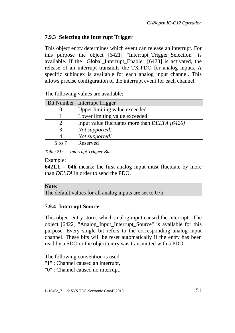#### **7.9.3 Selecting the Interrupt Trigger**

This object entry determines which event can release an interrupt. For this purpose the object [6421] "Interrupt\_Trigger\_Selection" is available. If the "Global\_Interrupt\_Enable" [6423] is activated, the release of an interrupt transmits the TX-PDO for analog inputs. A specific subindex is available for each analog input channel. This allows precise configuration of the interrupt event for each channel.

|        | Bit Number   Interrupt Trigger                       |
|--------|------------------------------------------------------|
|        | Upper limiting value exceeded                        |
|        | Lower limiting value exceeded                        |
|        | Input value fluctuates more than <i>DELTA</i> [6426] |
|        | Not supported!                                       |
|        | Not supported!                                       |
| 5 to 7 | Reserved                                             |

The following values are available:

*Table 21: Interrupt Trigger Bits* 

#### Example:

**6421,1 = 04h** means: the first analog input must fluctuate by more than *DELTA* in order to send the PDO.

#### **Note:**

The default values for all analog inputs are set to 07h.

### **7.9.4 Interrupt Source**

This object entry stores which analog input caused the interrupt. The object [6422] "Analog\_Input\_Interrupt\_Source" is available for this purpose. Every single bit refers to the corresponding analog input channel. These bits will be reset automatically if the entry has been read by a SDO or the object entry was transmitted with a PDO.

The following convention is used:

- "1" : Channel caused an interrupt,
- "0" : Channel caused no interrupt.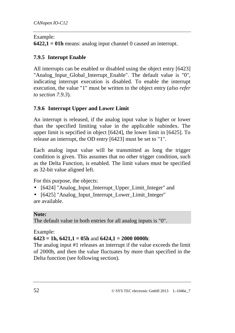Example:

**6422,1 = 01h** means: analog input channel 0 caused an interrupt.

### **7.9.5 Interupt Enable**

All interrupts can be enabled or disabled using the object entry [6423] "Analog\_Input\_Global\_Interrupt\_Enable". The default value is "0", indicating interrupt execution is disabled. To enable the interrupt execution, the value "1" must be written to the object entry (*also refer to section 7.9.3*).

### **7.9.6 Interrupt Upper and Lower Limit**

An interrupt is released, if the analog input value is higher or lower than the specified limiting value in the applicable subindex. The upper limit is sepcified in object [6424], the lower limit in [6425]. To release an interrupt, the OD entry [6423] must be set to "1".

Each analog input value will be transmitted as long the trigger condition is given. This assumes that no other trigger condition, such as the Delta Function, is enabled. The limit values must be specified as 32-bit value aligned left.

For this purpose, the objects:

- [6424] "Analog\_Input\_Interrupt\_Upper\_Limit\_Integer" and
- [6425] "Analog\_Input\_Interrupt\_Lower\_Limit\_Integer" are available.

### **Note:**

The default value in both entries for all analog inputs is "0".

Example:

### **6423 = 1h, 6421,1 = 05h** and **6424,1 = 2000 0000h**:

The analog input #1 releases an interrupt if the value exceeds the limit of 2000h, and then the value fluctuates by more than specified in the Delta function (see following section).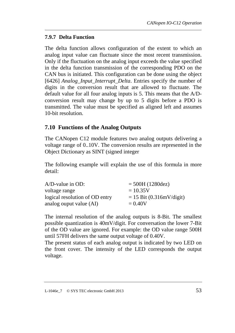#### **7.9.7 Delta Function**

The delta function allows configuration of the extent to which an analog input value can fluctuate since the most recent transmission. Only if the fluctuation on the analog input exceeds the value specified in the delta function transmission of the corresponding PDO on the CAN bus is initiated. This configuration can be done using the object [6426] *Analog\_Input\_Interrupt\_Delta*. Entries specify the number of digits in the conversion result that are allowed to fluctuate. The default value for all four analog inputs is 5. This means that the A/Dconversion result may change by up to 5 digits before a PDO is transmitted. The value must be specified as aligned left and assumes 10-bit resolution.

### **7.10 Functions of the Analog Outputs**

The CANopen C12 module features two analog outputs delivering a voltage range of 0..10V. The conversion results are represented in the Object Dictionary as SINT (signed integer

The following example will explain the use of this formula in more detail:

| $A/D$ -value in OD:            | $=$ 500H (1280dez)         |
|--------------------------------|----------------------------|
| voltage range                  | $= 10.35V$                 |
| logical resolution of OD entry | $= 15$ Bit (0.316mV/digit) |
| analog ouput value (AI)        | $= 0.40V$                  |

The internal resolution of the analog outputs is 8-Bit. The smallest possible quantization is 40mV/digit. For conversation the lower 7-Bit of the OD value are ignored. For example: the OD value range 500H until 57FH delivers the same output voltage of 0.40V.

The present status of each analog output is indicated by two LED on the front cover. The intensity of the LED corresponds the output voltage.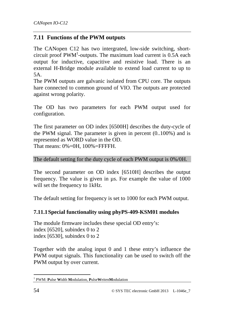### **7.11 Functions of the PWM outputs**

The CANopen C12 has two intergrated, low-side switching, shortcircuit proof  $PWM<sup>1</sup>$ -outputs. The maximum load current is 0.5A each output for inductive, capacitive and resistive load. There is an external H-Bridge module available to extend load current to up to 5A.

The PWM outputs are galvanic isolated from CPU core. The outputs hare connected to common ground of VIO. The outputs are protected against wrong polarity.

The OD has two parameters for each PWM output used for configuration.

The first parameter on OD index [6500H] describes the duty-cycle of the PWM signal. The parameter is given in percent (0..100%) and is represented as WORD value in the OD. That means: 0%=0H, 100%=FFFFH.

```
The default setting for the duty cycle of each PWM output is 0%/0H.
```
The second parameter on OD index [6510H] describes the output frequency. The value is given in µs. For example the value of 1000 will set the frequency to 1kHz.

The default setting for frequency is set to 1000 for each PWM output.

### **7.11.1Special functionality using phyPS-409-KSM01 modules**

The module firmware includes these special OD entry's: index [6520], subindex 0 to 2 index [6530], subindex 0 to 2

Together with the analog input 0 and 1 these entry's influence the PWM output signals. This functionality can be used to switch off the PWM output by over current.

 $\overline{a}$ 1 PWM: **P**ulse **W**idth **M**odulation, **P**ulse**W**eiten**M**odulation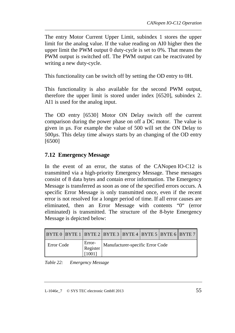The entry Motor Current Upper Limit, subindex 1 stores the upper limit for the analog value. If the value reading on AI0 higher then the upper limit the PWM output 0 duty-cycle is set to 0%. That means the PWM output is switched off. The PWM output can be reactivated by writing a new duty-cycle.

This functionality can be switch off by setting the OD entry to 0H.

This functionality is also available for the second PWM output, therefore the upper limit is stored under index [6520], subindex 2. AI1 is used for the analog input.

The OD entry [6530] Motor ON Delay switch off the current comparison during the power phase on off a DC motor. The value is given in µs. For example the value of 500 will set the ON Delay to 500µs. This delay time always starts by an changing of the OD entry [6500]

### **7.12 Emergency Message**

In the event of an error, the status of the CANopen IO-C12 is transmitted via a high-priority Emergency Message. These messages consist of 8 data bytes and contain error information. The Emergency Message is transferred as soon as one of the specified errors occurs. A specific Error Message is only transmitted once, even if the recent error is not resolved for a longer period of time. If all error causes are eliminated, then an Error Message with contents "0" (error eliminated) is transmitted. The structure of the 8-byte Emergency Message is depicted below:

| $BYTE0$ BYTE 1 BYTE 2 BYTE 3 BYTE 4 BYTE 5 BYTE 6 BYTE 7 |  |                    |                                  |  |  |
|----------------------------------------------------------|--|--------------------|----------------------------------|--|--|
| Error Code                                               |  | Error-<br>Register | Manufacturer-specific Error Code |  |  |

*Table 22: Emergency Message*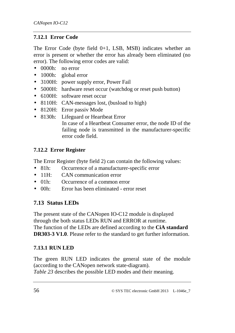#### **7.12.1 Error Code**

The Error Code (byte field 0+1, LSB, MSB) indicates whether an error is present or whether the error has already been eliminated (no error). The following error codes are valid:

- 0000h: no error
- 1000h: global error
- 3100H: power supply error, Power Fail
- 5000H: hardware reset occur (watchdog or reset push button)
- 6100H: software reset occur
- 8110H: CAN-messages lost, (busload to high)
- 8120H: Error passiv Mode
- 8130h: Lifeguard or Heartbeat Error In case of a Heartbeat Consumer error, the node ID of the failing node is transmitted in the manufacturer-specific error code field.

### **7.12.2 Error Register**

The Error Register (byte field 2) can contain the following values:

- 81h: Occurrence of a manufacturer-specific error
- 11H: CAN communication error
- 01h: Occurrence of a common error
- 00h: Error has been eliminated error reset

# **7.13 Status LEDs**

The present state of the CANopen IO-C12 module is displayed through the both status LEDs RUN and ERROR at runtime. The function of the LEDs are defined according to the **CiA standard DR303-3 V1.0**. Please refer to the standard to get further information.

### **7.13.1 RUN LED**

The green RUN LED indicates the general state of the module (according to the CANopen network state-diagram). *Table 23* describes the possible LED modes and their meaning.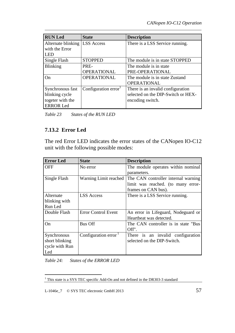| <b>RUN Led</b>                  | <b>State</b>                     | <b>Description</b>                 |
|---------------------------------|----------------------------------|------------------------------------|
| Alternate blinking   LSS Access |                                  | There is a LSS Service running.    |
| with the Error                  |                                  |                                    |
| I ED                            |                                  |                                    |
| Single Flash                    | <b>STOPPED</b>                   | The module is in state STOPPED     |
| <b>Blinking</b>                 | PRE-                             | The module is in state.            |
|                                 | <b>OPERATIONAL</b>               | PRE-OPERATIONAL                    |
| O <sub>n</sub>                  | <b>OPERATIONAL</b>               | The module is in state Zustand     |
|                                 |                                  | <b>OPERATIONAL</b>                 |
| Synchronous fast                | Configuration error <sup>1</sup> | There is an invalid configuration  |
| blinking cycle                  |                                  | selected on the DIP-Switch or HEX- |
| togeter with the                |                                  | encoding switch.                   |
| <b>ERROR</b> Led                |                                  |                                    |

*Table 23 States of the RUN LED* 

#### **7.13.2 Error Led**

The red Error LED indicates the error states of the CANopen IO-C12 unit with the following possible modes:

| <b>Error Led</b> | <b>State</b>               | <b>Description</b>                   |
|------------------|----------------------------|--------------------------------------|
| <b>OFF</b>       | No error                   | The module operates within nominal   |
|                  |                            | parameters.                          |
| Single Flash     | Warning Limit reached      | The CAN controller internal warning  |
|                  |                            | limit was reached. (to many error-   |
|                  |                            | frames on CAN bus).                  |
| Alternate        | <b>LSS</b> Access          | There is a LSS Service running.      |
| blinking with    |                            |                                      |
| Run Led          |                            |                                      |
| Double Flash     | <b>Error Control Event</b> | An error in Lifeguard, Nodeguard or  |
|                  |                            | Heartbeat was detected.              |
| On               | <b>Bus Off</b>             | The CAN controller is in state "Bus" |
|                  |                            | Off".                                |
| Synchronous      | Configuration error        | There is an invalid configuration    |
| short blinking   |                            | selected on the DIP-Switch.          |
| cycle with Run   |                            |                                      |
| Led              |                            |                                      |

*Table 24: States of the ERROR LED* 

 $\overline{a}$ <sup>1</sup> This state is a SYS TEC specific Add-On and not defined in the DR303-3 standard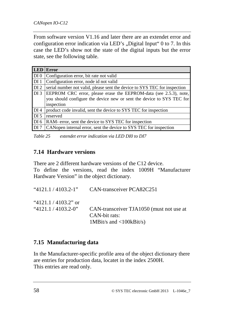From software version V1.16 and later there are an extendet error and configuration error indication via LED's "Digital Input"  $0$  to  $7$ . In this case the LED's show not the state of the digital inputs but the error state, see the following table.

| <b>LED</b>      | <b>Error</b>                                                              |
|-----------------|---------------------------------------------------------------------------|
| DI <sub>0</sub> | Configuration error, bit rate not valid                                   |
| DI 1            | Configuration error, node id not valid                                    |
| DI <sub>2</sub> | serial number not valid, please sent the device to SYS TEC for inspection |
| DI <sub>3</sub> | EEPROM CRC error, please erase the EEPROM-data (see 2.5.3), note,         |
|                 | you should configure the device new or sent the device to SYS TEC for     |
|                 | inspection                                                                |
| DI <sub>4</sub> | product code invalid, sent the device to SYS TEC for inspection           |
| DI <sub>5</sub> | reserved                                                                  |
| DI <sub>6</sub> | RAM- error, sent the device to SYS TEC for inspection                     |
| DI <sub>7</sub> | CAN open internal error, sent the device to SYS TEC for inspection        |

*Table 25 extendet error indication via LED DI0 to DI7* 

### **7.14 Hardware versions**

There are 2 different hardware versions of the C12 device. To define the versions, read the index 1009H "Manufacturer Hardware Version" in the object dictionary.

| $4121.1 / 4103.2 - 1$ "                     | CAN-transceiver PCA82C251                                        |
|---------------------------------------------|------------------------------------------------------------------|
| "4121.1/4103.2" or<br>$4121.1 / 4103.2 - 0$ |                                                                  |
|                                             | CAN-transceiver TJA1050 (must not use at<br><b>CAN-bit rats:</b> |
|                                             | 1MBit/s and $\langle$ 100kBit/s)                                 |

### **7.15 Manufacturing data**

In the Manufacturer-specific profile area of the object dictionary there are entries for production data, locatet in the index 2500H. This entries are read only.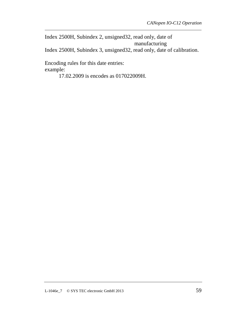Index 2500H, Subindex 2, unsigned32, read only, date of manufacturing

Index 2500H, Subindex 3, unsigned32, read only, date of calibration.

Encoding rules for this date entries: example:

17.02.2009 is encodes as 017022009H.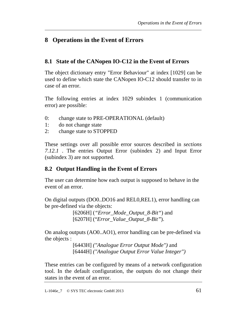# **8 Operations in the Event of Errors**

### **8.1 State of the CANopen IO-C12 in the Event of Errors**

The object dictionary entry "Error Behaviour" at index [1029] can be used to define which state the CANopen IO-C12 should transfer to in case of an error.

The following entries at index 1029 subindex 1 (communication error) are possible:

- 0: change state to PRE-OPERATIONAL (default)
- 1: do not change state
- 2: change state to STOPPED

These settings over all possible error sources described in *sections 7.12.1* . The entries Output Error (subindex 2) and Input Error (subindex 3) are not supported.

### **8.2 Output Handling in the Event of Errors**

The user can determine how each output is supposed to behave in the event of an error.

On digital outputs (DO0..DO16 and REL0,REL1), error handling can be pre-defined via the objects:

> [6206H] (*"Error\_Mode\_Output\_8-Bit"*) and [6207H] ("*Error\_Value\_Output\_8-Bit"*).

On analog outputs (AO0..AO1), error handling can be pre-defined via the objects :

> [6443H] *("Analogue Error Output Mode")* and [6444H] *("Analogue Output Error Value Integer")*

These entries can be configured by means of a network configuration tool. In the default configuration, the outputs do not change their states in the event of an error.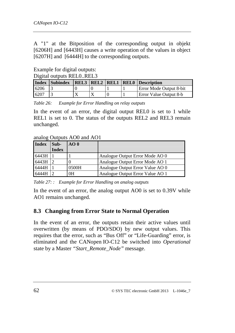A "1" at the Bitposition of the corresponding output in objekt [6206H] and [6443H] causes a write operation of the values in object [6207H] and [6444H] to the corresponding outputs.

Example for digital outputs:

Digital outputs REL0..REL3

|      |  |  | Index Subindex REL3 REL2 REL1 REL0 Description |
|------|--|--|------------------------------------------------|
| 6206 |  |  | <b>Error Mode Output 8-bit</b>                 |
| 6207 |  |  | <b>Error Value Output 8-b</b>                  |

*Table 26: Example for Error Handling on relay outputs* 

In the event of an error, the digital output REL0 is set to 1 while REL1 is set to 0. The status of the outputs REL2 and REL3 remain unchanged.

analog Outputs AO0 and AO1

| <b>Index</b> | Sub-         | AO <sub>0</sub> |                                  |
|--------------|--------------|-----------------|----------------------------------|
|              | <b>Index</b> |                 |                                  |
| 6443H        |              |                 | Analogue Output Error Mode AO 0  |
| 6443H        |              |                 | Analogue Output Error Mode AO 1  |
| 6444H        |              | 0500H           | Analogue Output Error Value AO 0 |
| 6444H        |              | 0 <sup>H</sup>  | Analogue Output Error Value AO 1 |

*Table 27: : Example for Error Handling on analog outputs* 

In the event of an error, the analog output AO0 is set to 0.39V while AO1 remains unchanged.

# **8.3 Changing from Error State to Normal Operation**

In the event of an error, the outputs retain their active values until overwritten (by means of PDO/SDO) by new output values. This requires that the error, such as "Bus Off" or "Life-Guarding" error, is eliminated and the CANopen IO-C12 be switched into *Operational* state by a Master *"Start\_Remote\_Node"* message.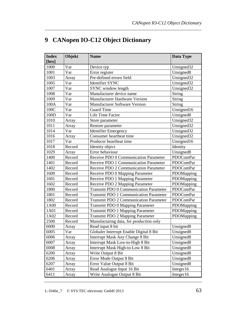|  |  |  | 9 CANopen IO-C12 Object Dictionary |
|--|--|--|------------------------------------|
|--|--|--|------------------------------------|

| <b>Index</b> | Objekt<br><b>Name</b> |                                               | Data Type              |
|--------------|-----------------------|-----------------------------------------------|------------------------|
| [hex]        |                       |                                               |                        |
| 1000         | Var                   | Device typ                                    | Unsigned <sub>32</sub> |
| 1001         | Var                   | Error register                                | Unsigned <sub>8</sub>  |
| 1003         | Array                 | Pre-defined erroro field                      | Unsigned <sub>32</sub> |
| 1005         | Var                   | Identifier SYNC                               | Unsigned32             |
| 1007         | Var                   | SYNC window length                            | Unsigned <sub>32</sub> |
| 1008         | Var                   | Manufacturer device name                      | <b>String</b>          |
| 1009         | Var                   | <b>Manufacturer Hardware Version</b>          | <b>String</b>          |
| 100A         | Var                   | <b>Manufacturer Software Version</b>          | <b>String</b>          |
| 100C         | Var                   | <b>Guard Time</b>                             | Unsigned16             |
| 100D         | Var                   | Life Time Factor                              | Unsigned <sub>8</sub>  |
| 1010         | Array                 | Store parameter                               | Unsigned <sub>32</sub> |
| 1011         | Array                 | Restore parameter                             | Unsigned <sub>32</sub> |
| 1014         | Var                   | <b>Identifier Emergency</b>                   | Unsigned32             |
| 1016         | Array                 | Consumer heartbeat time                       | Unsigned <sub>32</sub> |
| 1017         | Var                   | Producer heartbeat time                       | Unsigned16             |
| 1018         | Record                | Identity object                               | Identity               |
| 1029         | Array                 | Error behaviour                               | Unsigned8              |
| 1400         | Record                | Receive PDO 0 Communication Parameter         | <b>PDOComPar</b>       |
| 1401         | Record                | Receive PDO 1 Communication Parameter         | <b>PDOComPar</b>       |
| 1402         | Record                | Receive PDO 2 Communication Parameter         | <b>PDOComPar</b>       |
| 1600         | Record                | Receive PDO 0 Mapping Parameter               | PDOMapping             |
| 1601         | Record                | Receive PDO 1 Mapping Parameter               | PDOMapping             |
| 1602         | Record                | Receive PDO 2 Mapping Parameter               | PDOMapping             |
| 1800         | Record                | <b>Transmit PDO 0 Communication Parameter</b> | <b>PDOComPar</b>       |
| 1801         | Record                | <b>Transmit PDO 1 Communication Parameter</b> | <b>PDOComPar</b>       |
| 1802         | Record                | <b>Transmit PDO 2 Communication Parameter</b> | <b>PDOComPar</b>       |
| 1A00         | Record                | Transmit PDO 0 Mapping Parameter              | PDOMapping             |
| 1A01         | Record                | <b>Transmit PDO 1 Mapping Parameter</b>       | PDOMapping             |
| 1A02         | Record                | <b>Transmit PDO 2 Mapping Parameter</b>       | PDOMapping             |
| 2500         | Record                | Manufacturing data, for production only       |                        |
| 6000         | Array                 | Read input 8 bit                              | Unsigned <sub>8</sub>  |
| 6005         | Var                   | Globaler Interrupt Enable Digital 8 Bit       | Unsigned <sub>8</sub>  |
| 6006         | Array                 | Interrupt Mask Any Change 8 Bit               | Unsigned <sub>8</sub>  |
| 6007         | Array                 | Interrupt Mask Low-to-High 8 Bit              | Unsigned <sub>8</sub>  |
| 6008         | Array                 | Interrupt Mask High-to-Low 8 Bit              | Unsigned <sub>8</sub>  |
| 6200         | Array                 | Write Output 8 Bit                            | Unsigned <sub>8</sub>  |
| 6206         | Array                 | Error Mode Output 8 Bit                       | Unsigned <sub>8</sub>  |
| 6207         | Array                 | Error Value Output 8 Bit                      | Unsigned <sub>8</sub>  |
| 6401         | Array                 | Read Analogue Input 16 Bit                    | Integer16              |
| 6411         | Array                 | Write Analogue Output 8 Bit                   | Integer16              |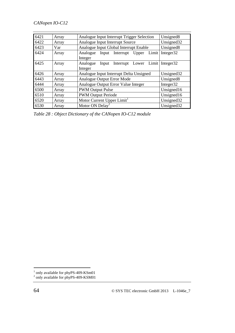| 6421 | Array | Analogue Input Interrupt Trigger Selection           | Unsigned <sub>8</sub>  |
|------|-------|------------------------------------------------------|------------------------|
| 6422 | Array | Analogue Input Interrupt Source                      | Unsigned <sub>32</sub> |
| 6423 | Var   | Analogue Input Global Interrupt Enable               | Unsigned <sub>8</sub>  |
| 6424 | Array | Input Interrupt Upper Limit Integer32<br>Analogue    |                        |
|      |       | Integer                                              |                        |
| 6425 | Array | Interrupt Lower Limit Integer32<br>Analogue<br>Input |                        |
|      |       | Integer                                              |                        |
| 6426 | Array | Analogue Input Interrupt Delta Unsigned              | Unsigned <sub>32</sub> |
| 6443 | Array | Analogue Output Error Mode                           | Unsigned <sub>8</sub>  |
| 6444 | Array | Analogue Output Error Value Integer                  | Integer <sub>32</sub>  |
| 6500 | Array | <b>PWM Output Pulse</b>                              | Unsigned16             |
| 6510 | Array | <b>PWM Output Periode</b>                            | Unsigned16             |
| 6520 | Array | Motor Current Upper Limit <sup>1</sup>               | Unsigned <sub>32</sub> |
| 6530 | Array | Motor ON Delay <sup>2</sup>                          | Unsigned <sub>32</sub> |

*Table 28 : Object Dictionary of the CANopen IO-C12 module* 

 1 only available for phyPS-409-KSm01 2 only available for phyPS-409-KSM01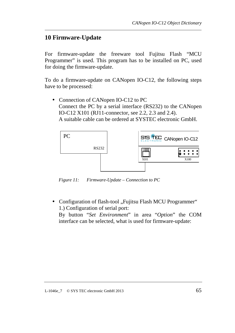## **10 Firmware-Update**

For firmware-update the freeware tool Fujitsu Flash "MCU Programmer" is used. This program has to be installed on PC, used for doing the firmware-update.

To do a firmware-update on CANopen IO-C12, the following steps have to be processed:

• Connection of CANopen IO-C12 to PC Connect the PC by a serial interface (RS232) to the CANopen IO-C12 X101 (RJ11-connector, see 2.2, 2.3 and 2.4). A suitable cable can be ordered at SYSTEC electronic GmbH.



*Figure 11: Firmware-Update – Connection to PC* 

• Configuration of flash-tool "Fujitsu Flash MCU Programmer" 1.) Configuration of serial port:

By button "*Set Environment*" in area "*Option*" the COM interface can be selected, what is used for firmware-update: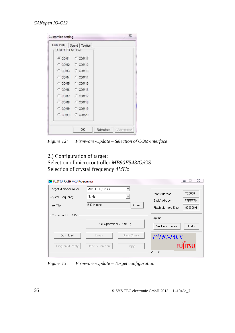| COM PORT SELECT- | COM PORT   Sound   Tooltips |  |
|------------------|-----------------------------|--|
|                  | C COM1 C COM11              |  |
|                  | C COM2 C COM12              |  |
|                  | C COM3 C COM13              |  |
|                  | C COM4 C COM14              |  |
|                  | C COM5 C COM15              |  |
|                  | C COM6 C COM16              |  |
|                  | C COM7 C COM17              |  |
|                  | C COM8 C COM18              |  |
|                  | C COM9 C COM19              |  |
|                  | C COM1(C COM20              |  |

*Figure 12: Firmware-Update – Selection of COM-interface* 

2.) Configuration of target: Selection of microcontroller *MB90F543/G/GS* Selection of crystal frequency *4MHz*

| FUJITSU FLASH MCU Programmer                |                                               | 53<br>$\boxed{\square}$<br>$\Box$                                        |
|---------------------------------------------|-----------------------------------------------|--------------------------------------------------------------------------|
| Target Microcontroller<br>Crystal Frequency | MB90F543/G/GS<br>$\blacktriangledown$<br>4MHz | FE0000H<br><b>Start Address</b><br><b>End Address</b><br><b>FFFFFFFH</b> |
| Hex File                                    | E4044.mhx<br>Open                             | 020000H<br>Flash Memory Size                                             |
| Command to COM1                             |                                               | Option                                                                   |
|                                             | Full Operation(D+E+B+P)                       | Set Environment<br>Help                                                  |
| Download                                    | <b>Blank Check</b><br>Erase                   | $F^2MC-16LX$                                                             |
| Program & Verify                            | Read & Compare<br>Copy                        | <b>Fujitsu</b><br>V01.L25                                                |

*Figure 13: Firmware-Update – Target configuration*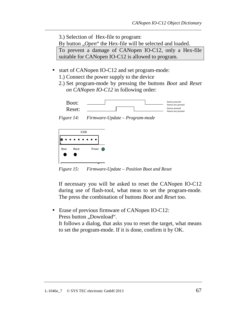3.) Selection of Hex-file to program:

By button *"Open*" the Hex-file will be selected and loaded.

To prevent a damage of CANopen IO-C12, only a Hex-file suitable for CANopen IO-C12 is allowed to program.

- start of CANopen IO-C12 and set program-mode:
	- 1.) Connect the power supply to the device
	- 2.) Set program-mode by pressing the buttons *Boot* and *Reset on CANopen IO-C12* in following order:



*Figure 14: Firmware-Update – Program-mode* 



*Figure 15: Firmware-Update – Position Boot and Reset* 

If necessary you will be asked to reset the CANopen IO-C12 during use of flash-tool, what meas to set the program-mode. The press the combination of buttons *Boot* and *Reset* too.

• Erase of previous firmware of CANopen IO-C12: Press button "Download".

It follows a dialog, that asks you to reset the target, what means to set the program-mode. If it is done, confirm it by OK.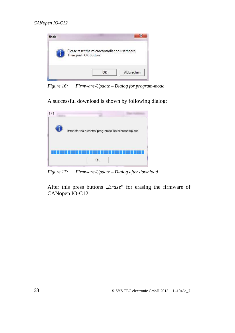

*Figure 16: Firmware-Update – Dialog for program-mode* 

A successful download is shown by following dialog:



*Figure 17: Firmware-Update – Dialog after download* 

After this press buttons "*Erase*" for erasing the firmware of CANopen IO-C12.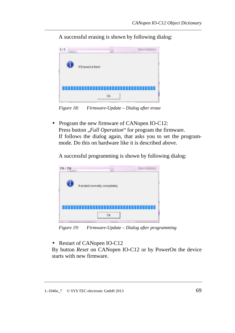A successful erasing is shown by following dialog:



*Figure 18: Firmware-Update – Dialog after erase* 

• Program the new firmware of CANopen IO-C12: Press button "*Full Operation*" for program the firmware. If follows the dialog again, that asks you to set the programmode. Do this on hardware like it is described above.

A successful programming is shown by following dialog:



*Figure 19: Firmware-Update – Dialog after programming* 

• Restart of CANopen IO-C12

By button *Reset* on CANopen IO-C12 or by PowerOn the device starts with new firmware.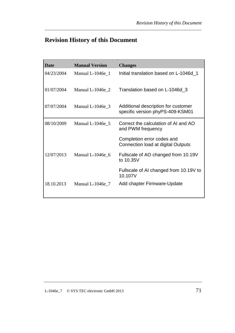## **Revision History of this Document**

| <b>Date</b> | <b>Manual Version</b>          | <b>Changes</b>                                                          |
|-------------|--------------------------------|-------------------------------------------------------------------------|
| 04/23/2004  | Manual L- $1046e_1$            | Initial translation based on L-1046d_1                                  |
| 01/07/2004  | Manual L- $1046e_2$            | Translation based on L-1046d 3                                          |
| 07/07/2004  | Manual L- $1046e$ 3            | Additional description for customer<br>specific version phyPS-409-KSM01 |
| 08/10/2009  | Manual L-1046e_5               | Correct the calculation of AI and AO<br>and PWM frequency               |
|             |                                | Completion error codes and<br>Connection load at digital Outputs        |
| 12/07/2013  | Manual L- $1046e$ 6            | Fullscale of AO changed from 10.19V<br>to 10.35V                        |
|             |                                | Fullscale of AI changed from 10.19V to<br>10.107V                       |
| 18.10.2013  | Manual L- $1046e$ <sup>7</sup> | Add chapter Firmware-Update                                             |
|             |                                |                                                                         |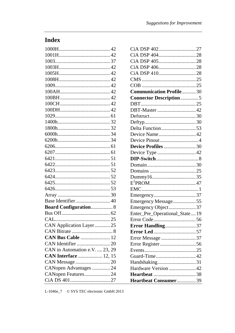## **Index**

| Base Identifier 40             |
|--------------------------------|
| <b>Board Configuration 8</b>   |
|                                |
|                                |
| CAN Application Layer 25       |
|                                |
| <b>CAN Bus Cable  12</b>       |
|                                |
| CAN in Automation e.V.  23, 29 |
| <b>CAN Interface  12, 15</b>   |
|                                |
| CANopen Advantages  24         |
| CANopen Features 24            |
|                                |

| CiA DSP 40428                  |
|--------------------------------|
|                                |
|                                |
| CiA DSP 41028                  |
|                                |
|                                |
| <b>Communication Profile30</b> |
| <b>Connector Description 5</b> |
|                                |
|                                |
|                                |
|                                |
| Delta Function53               |
|                                |
|                                |
| Device Profiles  30            |
|                                |
|                                |
|                                |
|                                |
|                                |
|                                |
|                                |
|                                |
| Emergency Message55            |
| Emergency Object37             |
| Enter_Pre_Operational_State19  |
|                                |
| <b>Error Handling37</b>        |
|                                |
| Error Message 37               |
|                                |
|                                |
|                                |
| Handshaking31                  |
| Hardware Version  42           |
|                                |
| Heartbeat Consumer39           |

L-1046e\_7 © SYS TEC electronic GmbH 2013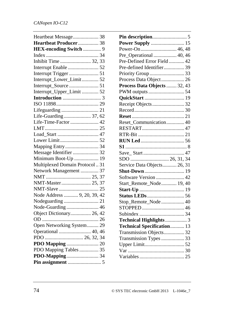| Heartbeat Producer 38           |  |
|---------------------------------|--|
| HEX-encoding Switch  9          |  |
|                                 |  |
| Inhibit Time  32, 33            |  |
|                                 |  |
|                                 |  |
| Interrupt_Lower_Limit 52        |  |
|                                 |  |
| Interrupt_Upper_Limit  52       |  |
|                                 |  |
|                                 |  |
|                                 |  |
| Life-Guarding  37, 62           |  |
| Life-Time-Factor  42            |  |
|                                 |  |
|                                 |  |
|                                 |  |
| Mapping Entry  34               |  |
| Message Identifier  32          |  |
| Minimum Boot-Up  19             |  |
| Multiplexed Domain Protocol  31 |  |
| Network Management  37          |  |
|                                 |  |
| NMT-Master 25, 37               |  |
|                                 |  |
| Node Address  9, 20, 39, 42     |  |
|                                 |  |
| Node-Guarding  46               |  |
| Object Dictionary 26, 42        |  |
|                                 |  |
| Open Networking System 29       |  |
|                                 |  |
|                                 |  |
|                                 |  |
| PDO Mapping Tables  35          |  |
| PDO-Mapping 34                  |  |
|                                 |  |

| <b>Power Supply  15</b>      |
|------------------------------|
|                              |
| Pre_Operational  40, 46      |
| Pre-Defined Error Field  42  |
| Pre-defined Identifier 39    |
| Priority Group  33           |
| Process Data Object 26       |
| Process Data Objects  32, 43 |
|                              |
|                              |
| Receipt Objects 32           |
|                              |
|                              |
| Reset_Communication 40       |
|                              |
|                              |
|                              |
|                              |
|                              |
|                              |
| Service Data Objects 26, 31  |
| <b>Shut-Down</b> 19          |
|                              |
| Start_Remote_Node 19, 40     |
|                              |
|                              |
| Stop_Remote_Node 40          |
|                              |
|                              |
| Technical Highlights 3       |
| Technical Specification 13   |
| Transmission Objects 32      |
| Transmission Types  33       |
|                              |
|                              |
|                              |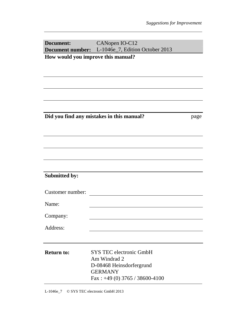| Document:                          | CANopen IO-C12                                          |      |
|------------------------------------|---------------------------------------------------------|------|
|                                    | <b>Document number:</b> L-1046e_7, Edition October 2013 |      |
| How would you improve this manual? |                                                         |      |
|                                    |                                                         |      |
|                                    |                                                         |      |
|                                    |                                                         |      |
|                                    |                                                         |      |
|                                    |                                                         |      |
|                                    | Did you find any mistakes in this manual?               | page |
|                                    |                                                         |      |
|                                    |                                                         |      |
|                                    |                                                         |      |
|                                    |                                                         |      |
|                                    |                                                         |      |
|                                    |                                                         |      |
| <b>Submitted by:</b>               |                                                         |      |
|                                    |                                                         |      |
| Customer number:                   |                                                         |      |
|                                    |                                                         |      |
| Name:                              |                                                         |      |
| Company:                           |                                                         |      |
| Address:                           |                                                         |      |
|                                    |                                                         |      |
|                                    |                                                         |      |
| <b>Return to:</b>                  | <b>SYS TEC electronic GmbH</b>                          |      |
|                                    | Am Windrad 2                                            |      |
|                                    | D-08468 Heinsdorfergrund                                |      |
|                                    | <b>GERMANY</b>                                          |      |
|                                    | Fax: $+49(0)$ 3765 / 38600-4100                         |      |

L-1046e\_7 © SYS TEC electronic GmbH 2013